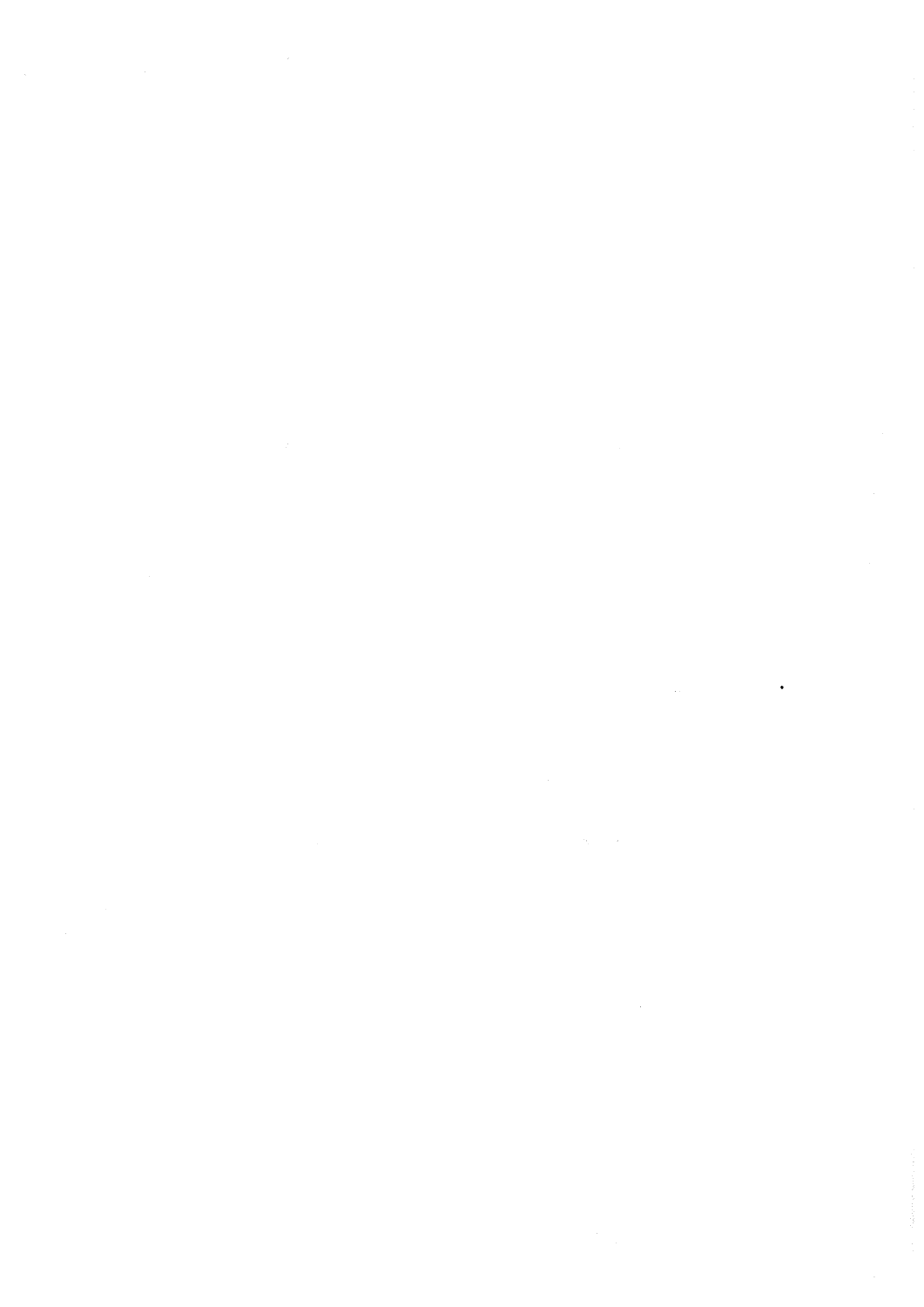$\mathcal{L}_{\text{max}}$  and  $\mathcal{L}_{\text{max}}$  and  $\mathcal{L}_{\text{max}}$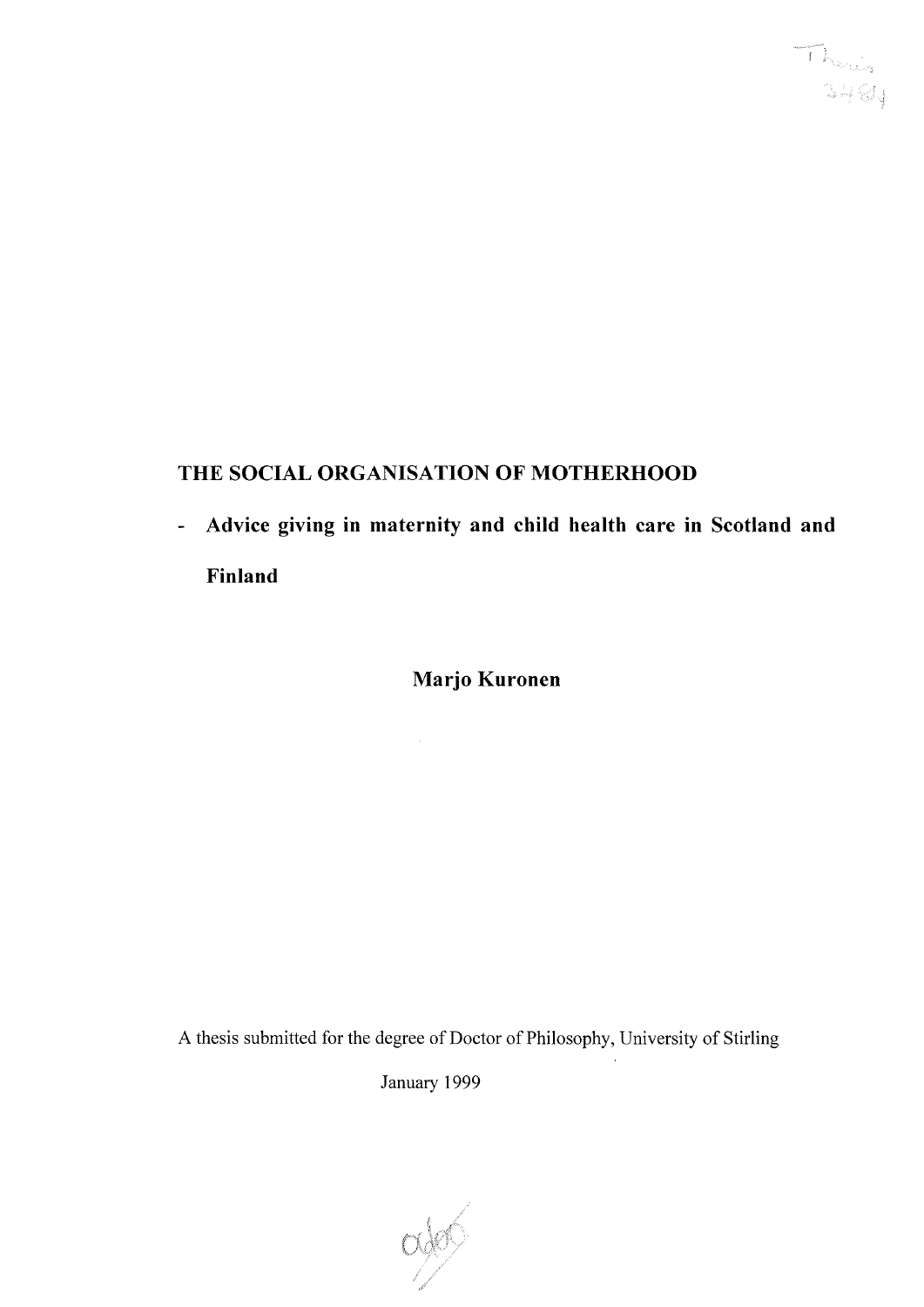## THE SOCIAL ORGANISATION OF MOTHERHOOD

# - Advice giving in maternity and child health care in Scotland and Finland

Thein

### Marjo Kuronen

A thesis submitted for the degree of Doctor of Philosophy, University of Stirling

January 1999

 $\infty$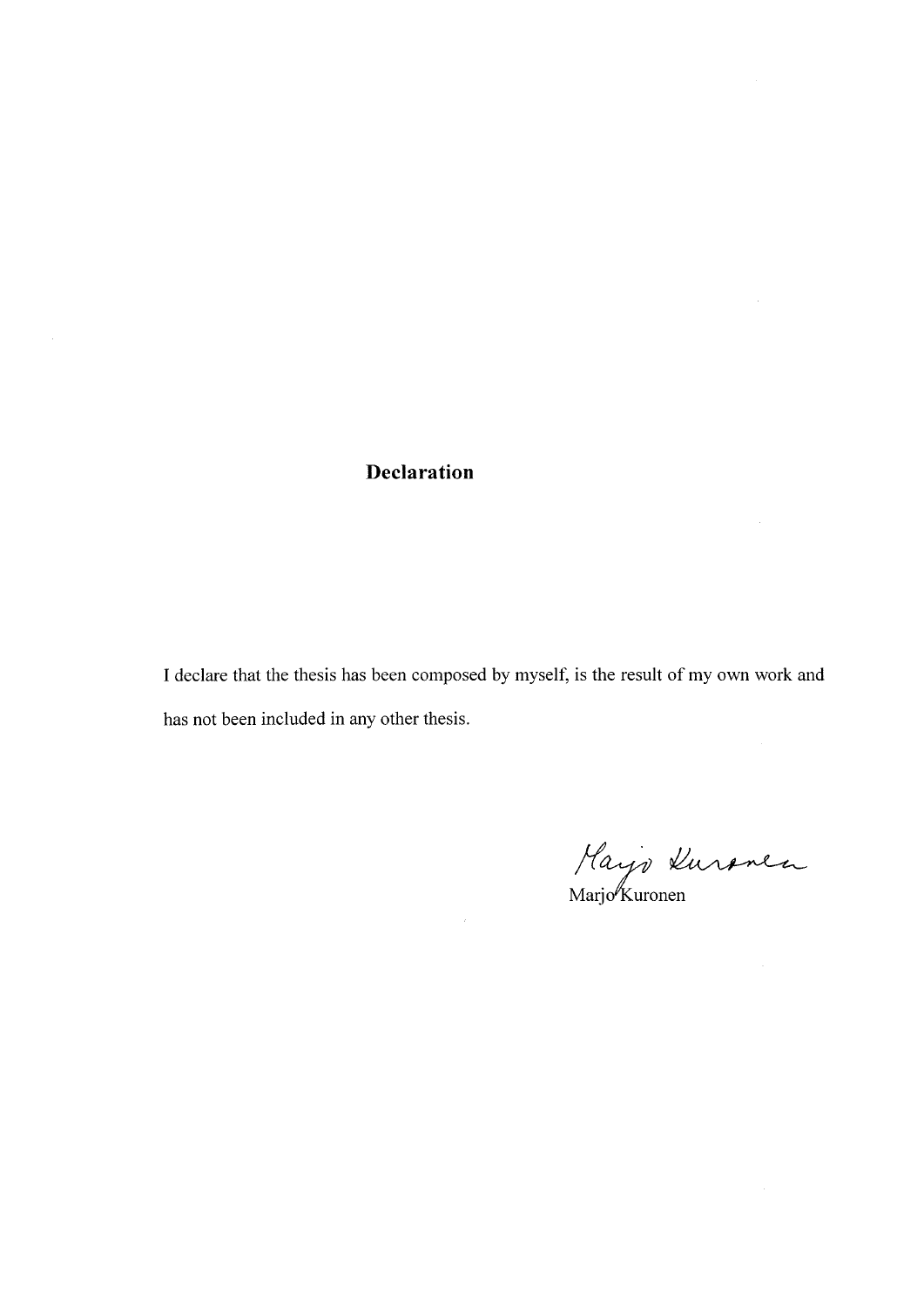### Declaration

I declare that the thesis has been composed by myself, is the result of my own work and has not been included in any other thesis.

Hays Kuran

 $\alpha$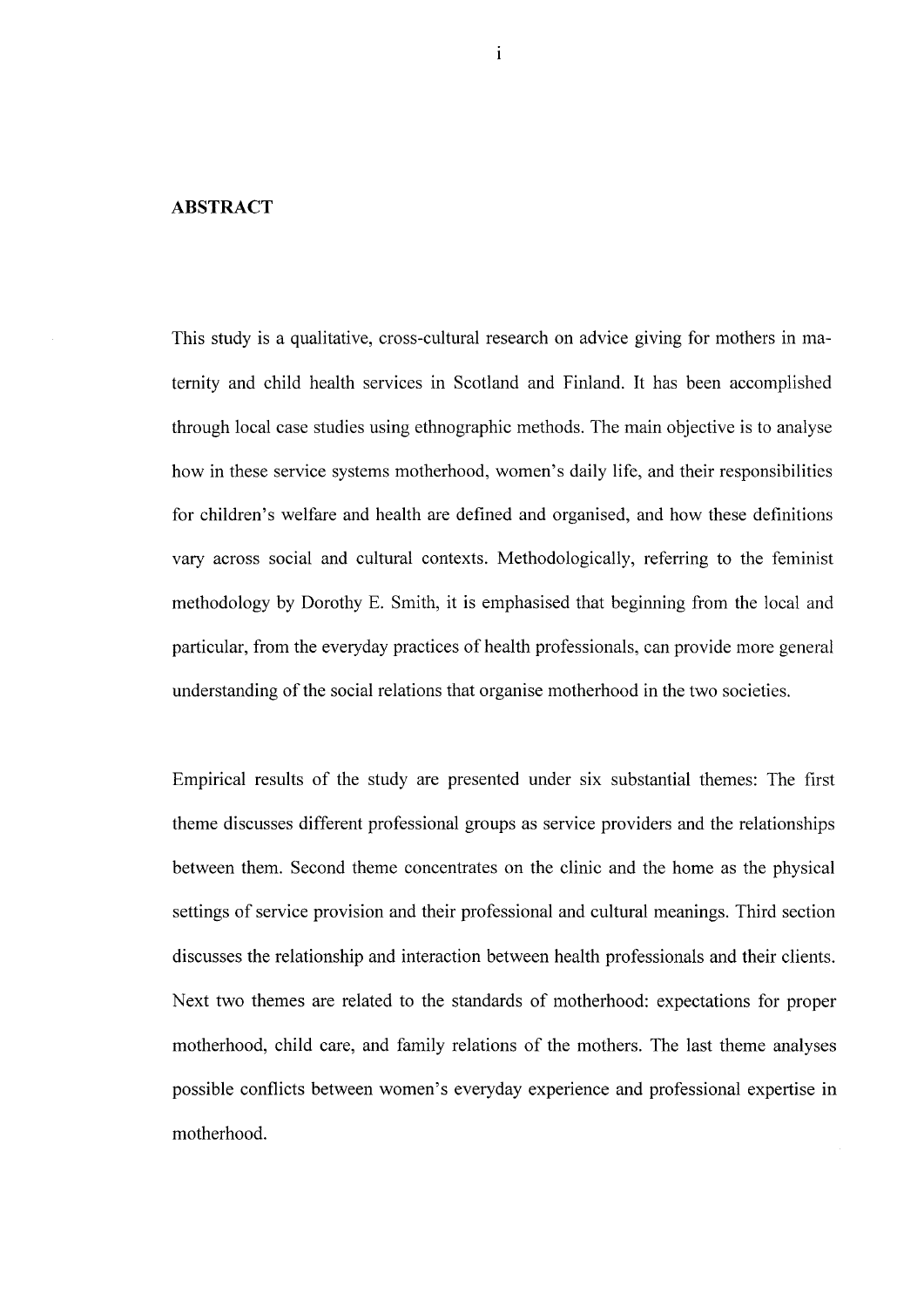#### ABSTRACT

This study is a qualitative, cross-cultural research on advice giving for mothers in maternity and child health services in Scotland and Finland. It has been accomplished through local case studies using ethnographic methods. The main objective is to analyse how in these service systems motherhood, women's daily life, and their responsibilities for children's welfare and health are defined and organised, and how these definitions vary across social and cultural contexts. Methodologically, referring to the feminist methodology by Dorothy E. Smith, it is emphasised that beginning from the local and particular, from the everyday practices of health professionals, can provide more general understanding of the social relations that organise motherhood in the two societies.

Empirical results of the study are presented under six substantial themes: The first theme discusses different professional groups as service providers and the relationships between them. Second theme concentrates on the clinic and the home as the physical settings of service provision and their professional and cultural meanings. Third section discusses the relationship and interaction between health professionals and their clients. Next two themes are related to the standards of motherhood: expectations for proper motherhood, child care, and family relations of the mothers. The last theme analyses possible conflicts between women's everyday experience and professional expertise in motherhood.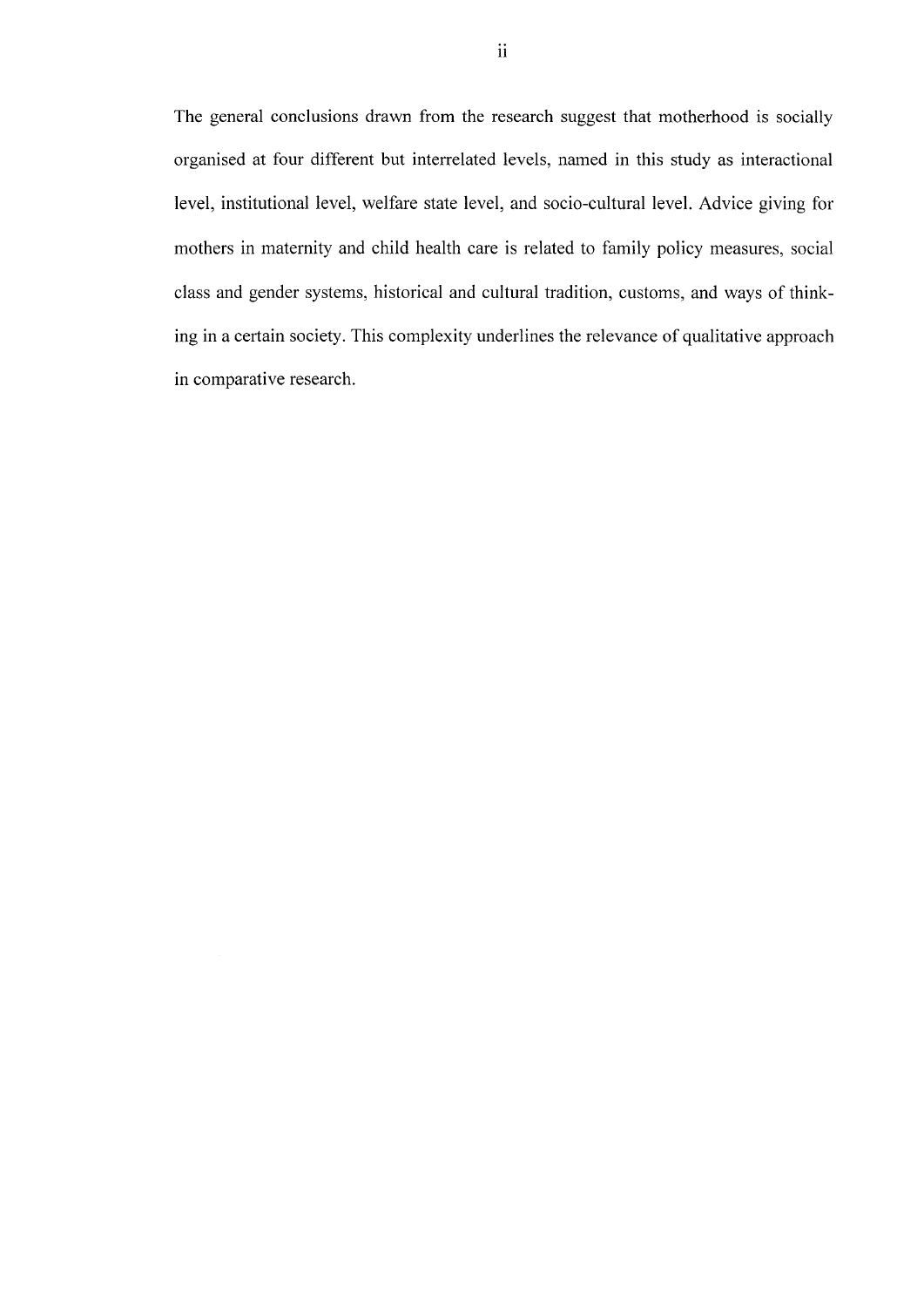The general conclusions drawn from the research suggest that motherhood is socially organised at four different but interrelated levels, named in this study as interactional level, institutional level, welfare state level, and socio-cultural level. Advice giving for mothers in maternity and child health care is related to family policy measures, social class and gender systems, historical and cultural tradition, customs, and ways of thinking in a certain society. This complexity underlines the relevance of qualitative approach in comparative research.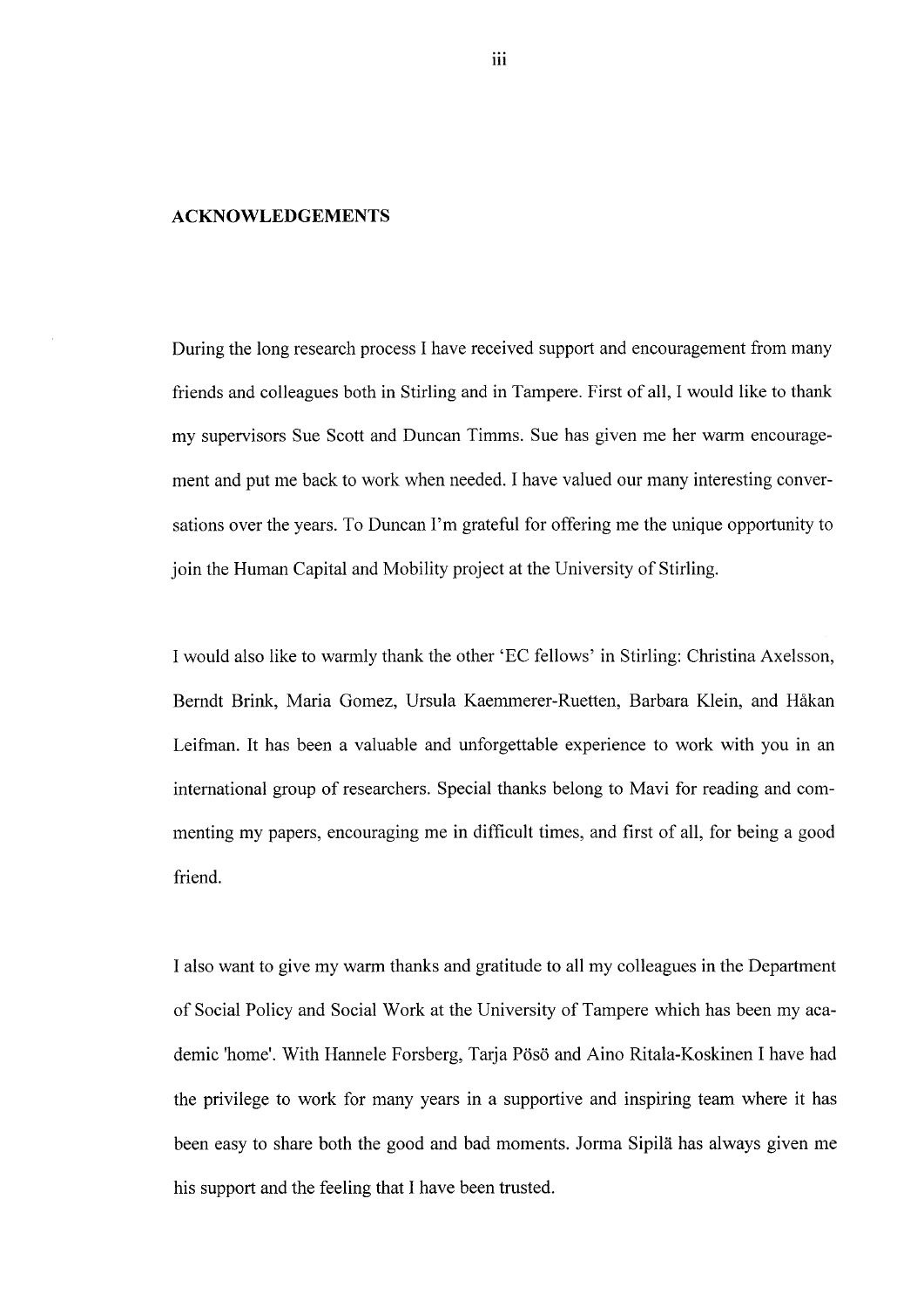### ACKNOWLEDGEMENTS

During the long research process I have received support and encouragement from many friends and colleagues both in Stirling and in Tampere. First of all, I would like to thank my supervisors Sue Scott and Duncan Timms. Sue has given me her warm encouragement and put me back to work when needed. I have valued our many interesting conversations over the years. To Duncan I'm grateful for offering me the unique opportunity to join the Human Capital and Mobility project at the University of Stirling.

I would also like to warmly thank the other' EC fellows' in Stirling: Christina Axelsson, Berndt Brink, Maria Gomez, Ursula Kaemmerer-Ruetten, Barbara Klein, and Håkan Leifman. It has been a valuable and unforgettable experience to work with you in an international group of researchers. Special thanks belong to Mavi for reading and commenting my papers, encouraging me in diffcult times, and first of all, for being a good friend.

I also want to give my warm thanks and gratitude to all my colleagues in the Department of Social Policy and Social Work at the University of Tampere which has been my academic 'home'. With Hannele Forsberg, Tarja Pösö and Aino Ritala-Koskinen I have had the privilege to work for many years in a supportive and inspiring team where it has been easy to share both the good and bad moments. Jorma Sipilä has always given me his support and the feeling that I have been trusted.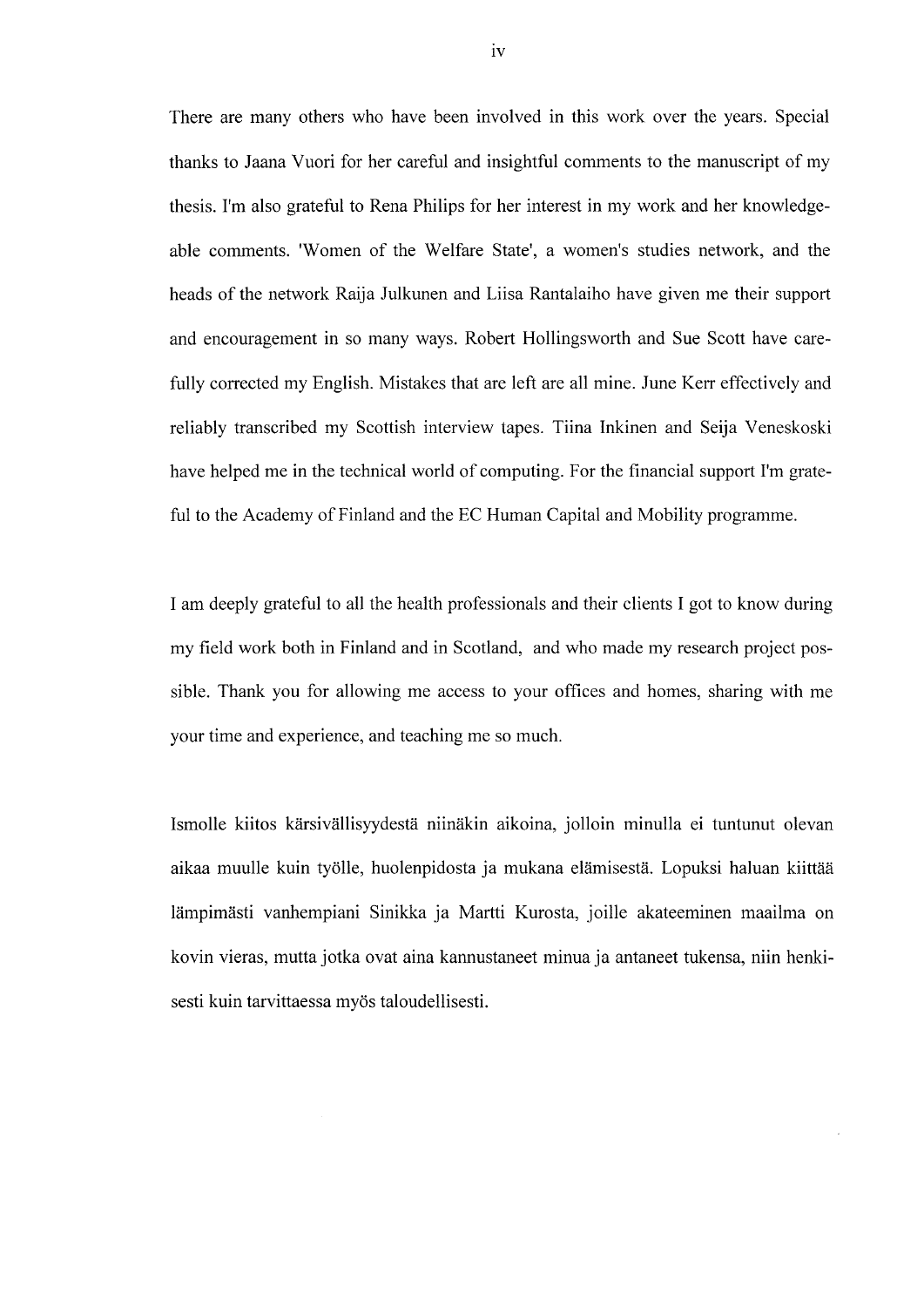There are many others who have been involved in this work over the years. Special thanks to Jaana Vuori for her careful and insightful comments to the manuscript of my thesis. I'm also grateful to Rena Philips for her interest in my work and her knowledgeable comments. 'Women of the Welfare State', a women's studies network, and the heads of the network Raija Julkunen and Liisa Rantalaiho have given me their support and encouragement in so many ways. Robert Hollingsworth and Sue Scott have carefully corrected my English. Mistakes that are left are all mine. June Kerr effectively and reliably transcribed my Scottish interview tapes. Tiina Inkinen and Seija Veneskoski have helped me in the technical world of computing. For the financial support I'm grateful to the Academy of Finland and the EC Human Capital and Mobility programme.

I am deeply grateful to all the health professionals and their clients I got to know during my field work both in Finland and in Scotland, and who made my research project possible. Thank you for allowing me access to your offices and homes, sharing with me your time and experience, and teaching me so much.

Ismolle kiitos kärsivällisyydestä niinäkin aikoina, jolloin minulla ei tuntunut olevan aikaa muulle kuin työlle, huolenpidosta ja mukana elämisestä. Lopuksi haluan kiittää lämpimästi vanhempiani Sinikka ja Marti Kurosta, joille akateeminen maailma on kovin vieras, mutta jotka ovat aina kannustaneet minua ja antaneet tukensa, niin henkisesti kuin tarvittaessa myös taloudellisesti.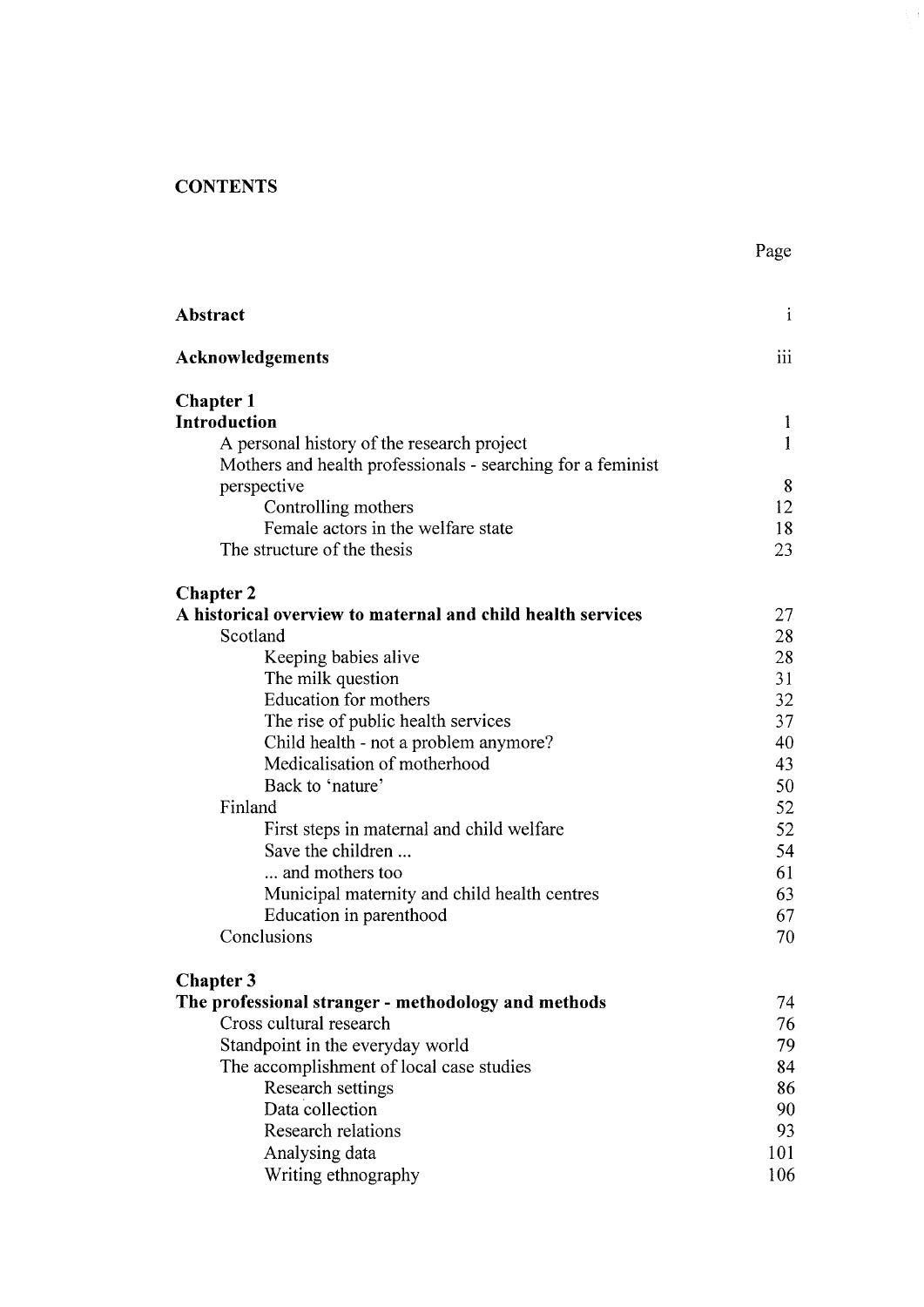### **CONTENTS**

| Abstract                                                    | $\mathbf{i}$ |
|-------------------------------------------------------------|--------------|
| Acknowledgements                                            | iii          |
| <b>Chapter 1</b>                                            |              |
| Introduction                                                | $\mathbf{1}$ |
| A personal history of the research project                  | $\mathbf{1}$ |
| Mothers and health professionals - searching for a feminist |              |
| perspective                                                 | 8            |
| Controlling mothers                                         | 12           |
| Female actors in the welfare state                          | 18           |
| The structure of the thesis                                 | 23           |
| <b>Chapter 2</b>                                            |              |
| A historical overview to maternal and child health services | 27           |
| Scotland                                                    | 28           |
| Keeping babies alive                                        | 28           |
| The milk question                                           | 31           |
| <b>Education for mothers</b>                                | 32           |
| The rise of public health services                          | 37           |
| Child health - not a problem anymore?                       | 40           |
| Medicalisation of motherhood                                | 43           |
| Back to 'nature'                                            | 50           |
| Finland                                                     | 52           |
| First steps in maternal and child welfare                   | 52           |
| Save the children                                           | 54           |
| and mothers too                                             | 61           |
| Municipal maternity and child health centres                | 63           |
| Education in parenthood                                     | 67           |
| Conclusions                                                 | 70           |
| <b>Chapter 3</b>                                            |              |
| The professional stranger - methodology and methods         | 74           |
| Cross cultural research                                     | 76           |
| Standpoint in the everyday world                            | 79           |
| The accomplishment of local case studies                    | 84           |
| Research settings                                           | 86           |
| Data collection                                             | 90           |
| <b>Research relations</b>                                   | 93           |
| Analysing data                                              | 101          |
| Writing ethnography                                         | 106          |

 $\frac{1}{2}$  .  $\frac{1}{2}$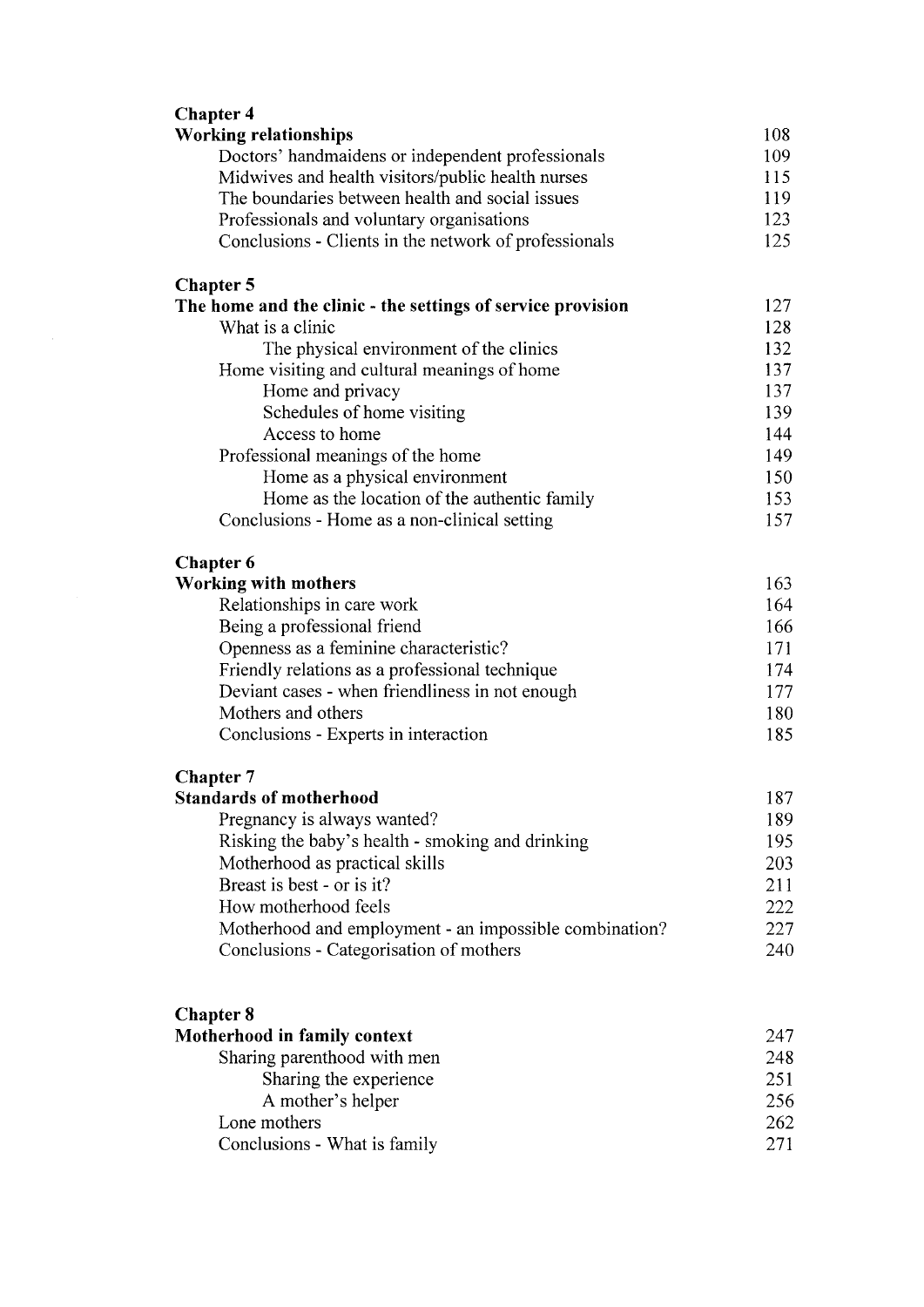| <b>Chapter 4</b>                                            |     |
|-------------------------------------------------------------|-----|
| <b>Working relationships</b>                                | 108 |
| Doctors' handmaidens or independent professionals           | 109 |
| Midwives and health visitors/public health nurses           | 115 |
| The boundaries between health and social issues             | 119 |
| Professionals and voluntary organisations                   | 123 |
| Conclusions - Clients in the network of professionals       | 125 |
| <b>Chapter 5</b>                                            |     |
| The home and the clinic - the settings of service provision | 127 |
| What is a clinic                                            | 128 |
| The physical environment of the clinics                     | 132 |
| Home visiting and cultural meanings of home                 | 137 |
| Home and privacy                                            | 137 |
| Schedules of home visiting                                  | 139 |
| Access to home                                              | 144 |
| Professional meanings of the home                           | 149 |
| Home as a physical environment                              | 150 |
| Home as the location of the authentic family                | 153 |
| Conclusions - Home as a non-clinical setting                | 157 |
| <b>Chapter 6</b>                                            |     |
| <b>Working with mothers</b>                                 | 163 |
| Relationships in care work                                  | 164 |
| Being a professional friend                                 | 166 |
| Openness as a feminine characteristic?                      | 171 |
| Friendly relations as a professional technique              | 174 |
| Deviant cases - when friendliness in not enough             | 177 |
| Mothers and others                                          | 180 |
| Conclusions - Experts in interaction                        | 185 |
| <b>Chapter 7</b>                                            |     |
| <b>Standards of motherhood</b>                              | 187 |
| Pregnancy is always wanted?                                 | 189 |
| Risking the baby's health - smoking and drinking            | 195 |
| Motherhood as practical skills                              | 203 |
| Breast is best - or is it?                                  | 211 |
| How motherhood feels                                        | 222 |
| Motherhood and employment - an impossible combination?      | 227 |
| Conclusions - Categorisation of mothers                     | 240 |
|                                                             |     |
| <b>Chapter 8</b>                                            |     |
| Motherhood in family context                                | 247 |
| Sharing parenthood with men                                 | 248 |

| Sharing the experience       | 251  |
|------------------------------|------|
| A mother's helper            | 256  |
| Lone mothers                 | 262  |
| Conclusions - What is family | 271. |
|                              |      |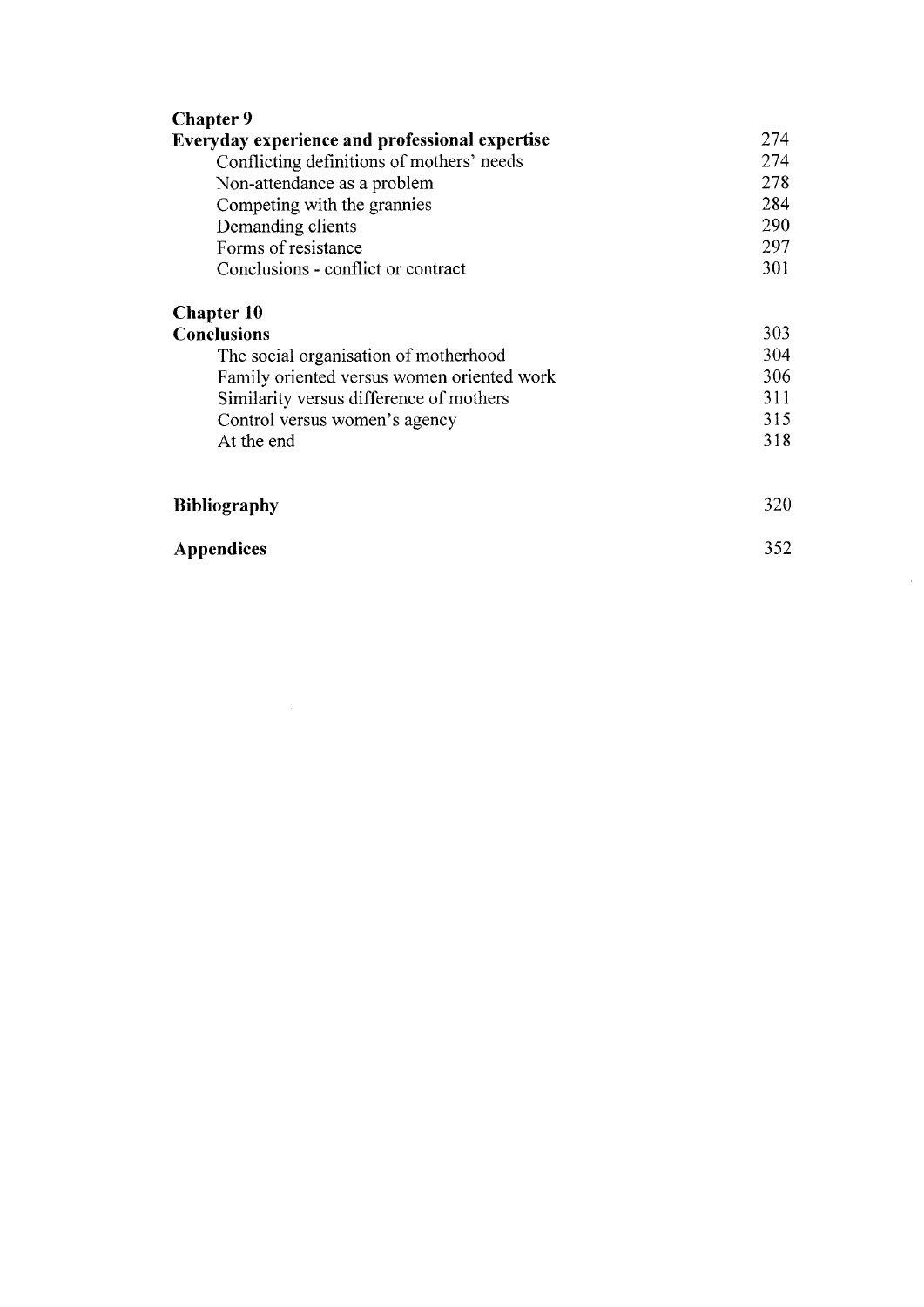| <b>Chapter</b> 9                               |     |
|------------------------------------------------|-----|
| Everyday experience and professional expertise | 274 |
| Conflicting definitions of mothers' needs      | 274 |
| Non-attendance as a problem                    | 278 |
| Competing with the grannies                    | 284 |
| Demanding clients                              | 290 |
| Forms of resistance                            | 297 |
| Conclusions - conflict or contract             | 301 |
| <b>Chapter 10</b>                              |     |
| <b>Conclusions</b>                             | 303 |
| The social organisation of motherhood          | 304 |
| Family oriented versus women oriented work     | 306 |
| Similarity versus difference of mothers        | 311 |
| Control versus women's agency                  | 315 |
| At the end                                     | 318 |
|                                                |     |
| <b>Bibliography</b>                            | 320 |
| <b>Appendices</b>                              | 352 |

 $\mathcal{A}^{\mathcal{A}}$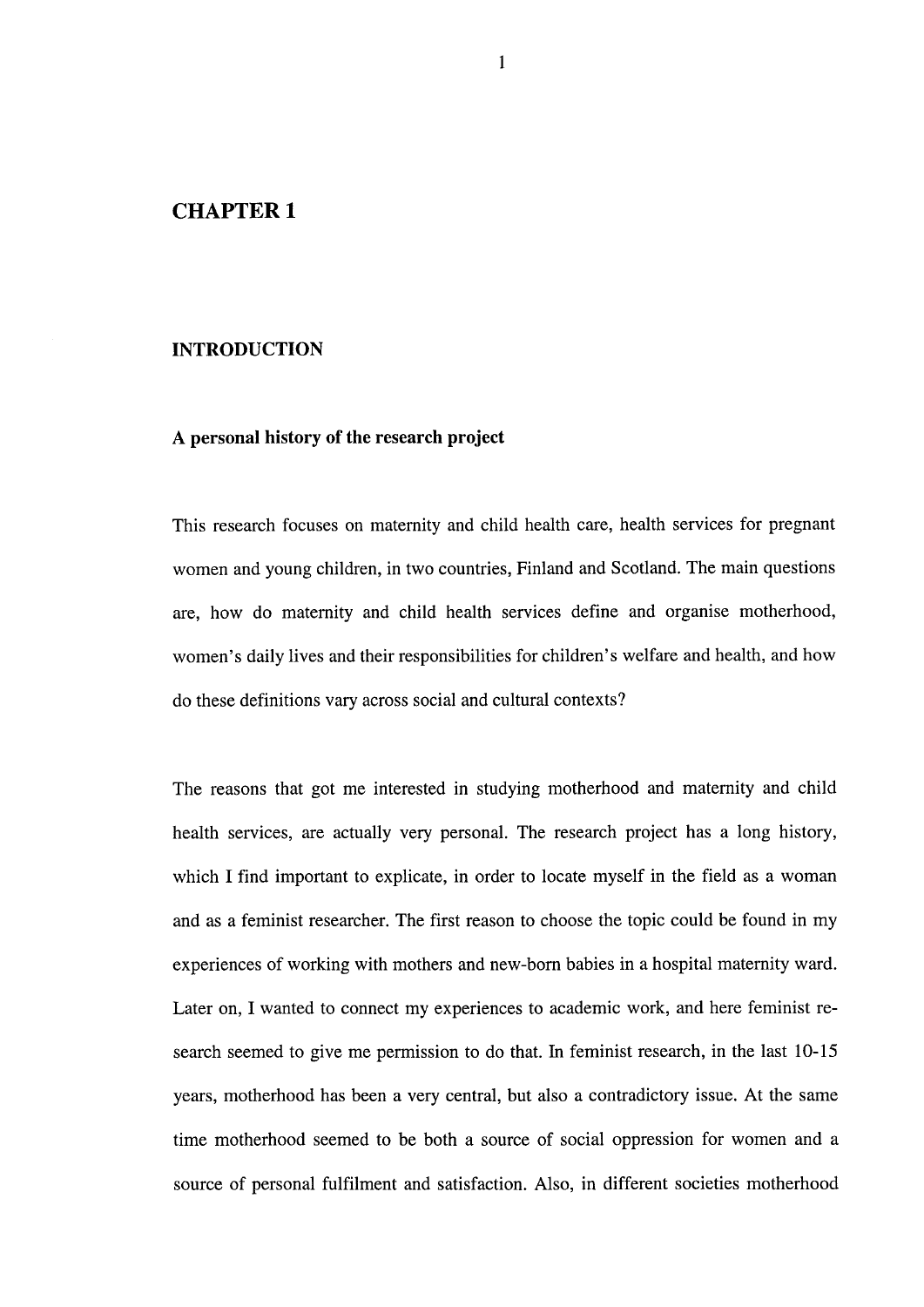### **CHAPTER 1**

### INTRODUCTION

#### A personal history of the research project

This research focuses on maternity and child health care, health services for pregnant women and young children, in two countries, Finland and Scotland. The main questions are, how do maternity and child health services define and organise motherhood, women's daily lives and their responsibilities for children's welfare and health, and how do these definitions vary across social and cultural contexts?

The reasons that got me interested in studying motherhood and maternity and child health services, are actually very personal. The research project has a long history, which I find important to explicate, in order to locate myself in the field as a woman and as a feminist researcher. The first reason to choose the topic could be found in my experiences of working with mothers and new-born babies in a hospital maternity ward. Later on, I wanted to connect my experiences to academic work, and here feminist research seemed to give me permission to do that. In feminist research, in the last 10-15 years, motherhood has been a very central, but also a contradictory issue. At the same time motherhood seemed to be both a source of social oppression for women and a source of personal fulfiment and satisfaction. Also, in different societies motherhood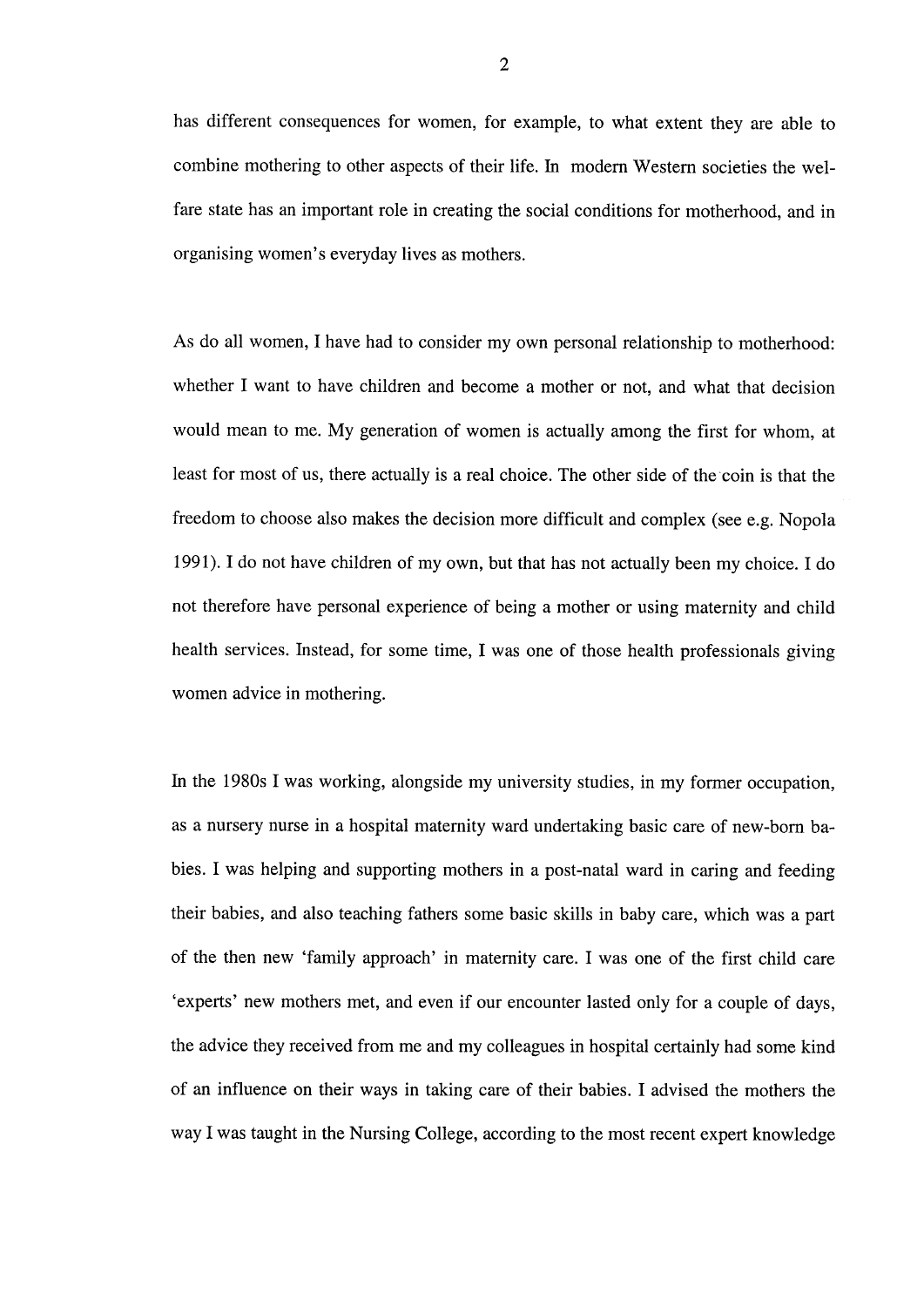has different consequences for women, for example, to what extent they are able to combine mothering to other aspects of their life. In modern Western societies the welfare state has an important role in creating the social conditions for motherhood, and in organising women's everyday lives as mothers.

As do all women, I have had to consider my own personal relationship to motherhood: whether I want to have children and become a mother or not, and what that decision would mean to me. My generation of women is actually among the first for whom, at least for most of us, there actually is a real choice. The other side of the coin is that the freedom to choose also makes the decision more difficult and complex (see e.g. Nopola 1991). I do not have children of my own, but that has not actually been my choice. I do not therefore have personal experience of being a mother or using maternity and child health services. Instead, for some time, I was one of those health professionals giving women advice in mothering.

In the 1980s I was working, alongside my university studies, in my former occupation, as a nursery nurse in a hospital maternity ward undertaking basic care of new-born babies. I was helping and supporting mothers in a post-natal ward in caring and feeding their babies, and also teaching fathers some basic skils in baby care, which was a part of the then new 'family approach' in maternity care. I was one of the first child care 'experts' new mothers met, and even if our encounter lasted only for a couple of days, the advice they received from me and my colleagues in hospital certainly had some kind of an influence on their ways in taking care of their babies. I advised the mothers the way I was taught in the Nursing College, according to the most recent expert knowledge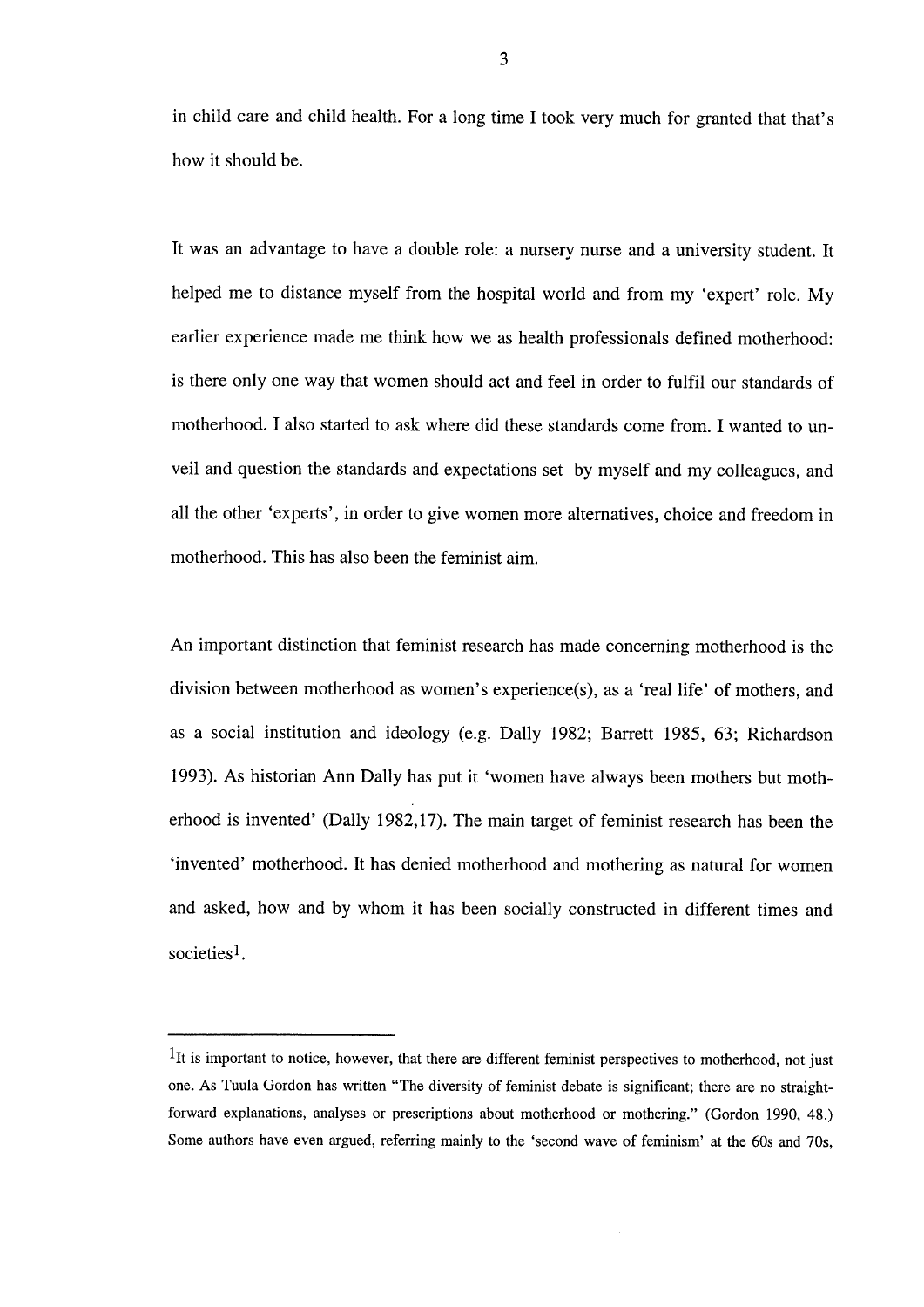in child care and child health. For a long time I took very much for granted that that's how it should be.

It was an advantage to have a double role: a nursery nurse and a university student. It helped me to distance myself from the hospital world and from my 'expert' role. My earlier experience made me think how we as health professionals defined motherhood: is there only one way that women should act and feel in order to fulfil our standards of motherhood. I also started to ask where did these standards come from. I wanted to unveil and question the standards and expectations set by myself and my colleagues, and all the other 'experts', in order to give women more alternatives, choice and freedom in motherhood. This has also been the feminist aim.

An important distinction that feminist research has made concerning motherhood is the division between motherhood as women's experience(s), as a 'real life' of mothers, and as a social institution and ideology (e.g. Dally 1982; Barrett 1985, 63; Richardson 1993). As historian Ann Dally has put it 'women have always been mothers but motherhood is invented' (Dally 1982,17). The main target of feminist research has been the 'invented' motherhood. It has denied motherhood and mothering as natural for women and asked, how and by whom it has been socially constructed in different times and societies<sup>1</sup>.

<sup>&</sup>lt;sup>1</sup>It is important to notice, however, that there are different feminist perspectives to motherhood, not just one. As Tuula Gordon has written "The diversity of feminist debate is significant; there are no straightforward explanations, analyses or prescriptions about motherhood or mothering." (Gordon 1990, 48.) Some authors have even argued, referring mainly to the 'second wave of feminism' at the 60s and 70s,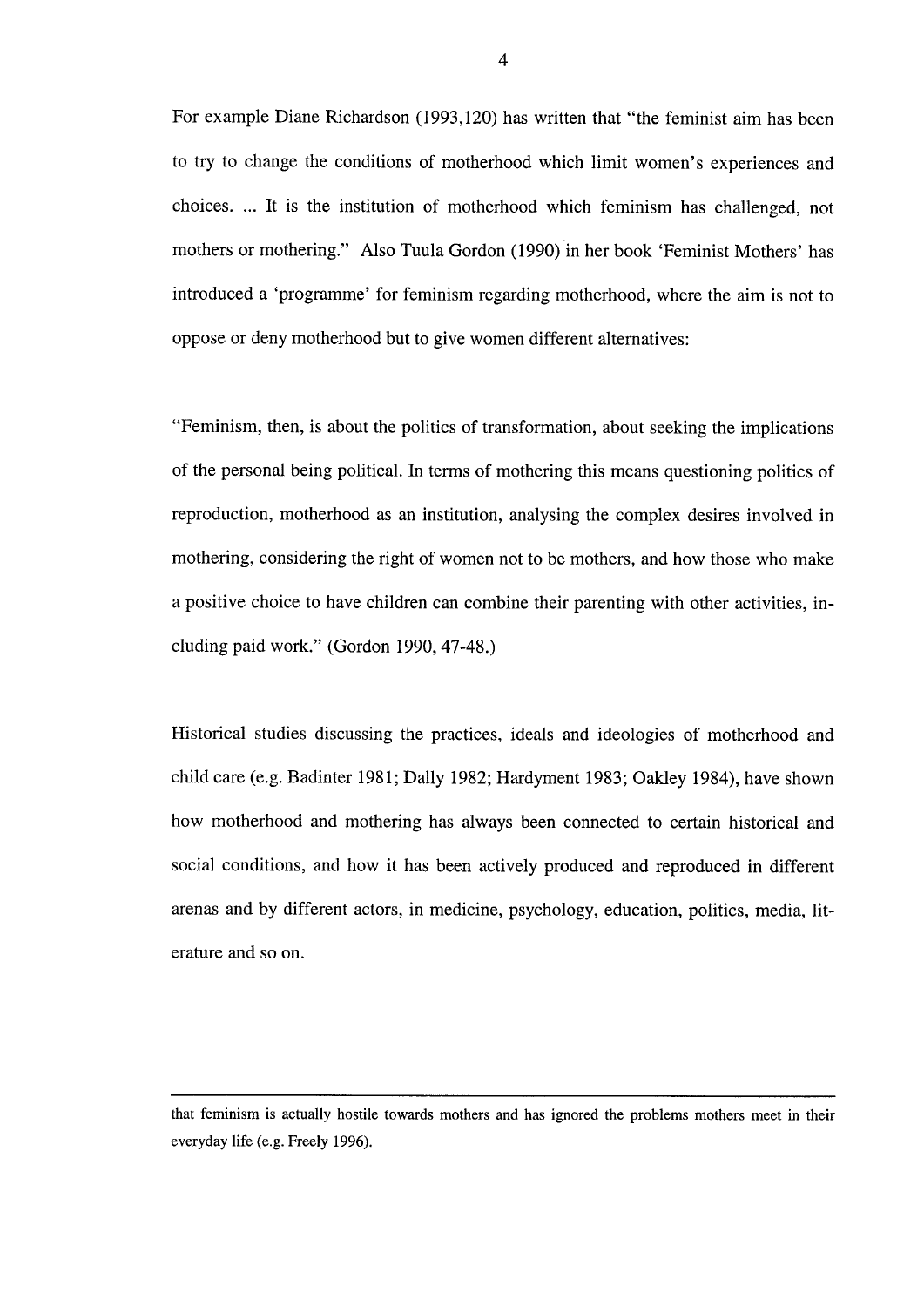For example Diane Richardson (1993,120) has written that "the feminist aim has been to try to change the conditions of motherhood which limit women's experiences and choices. ... It is the institution of motherhood which feminism has challenged, not mothers or mothering." Also Tuula Gordon (1990) in her book 'Feminist Mothers' has introduced a 'programme' for feminism regarding motherhood, where the aim is not to oppose or deny motherhood but to give women different alternatives:

"Feminism, then, is about the politics of transformation, about seeking the implications of the personal being politicaL. In terms of mothering this means questioning politics of reproduction, motherhood as an institution, analysing the complex desires involved in mothering, considering the right of women not to be mothers, and how those who make a positive choice to have children can combine their parenting with other activities, including paid work." (Gordon 1990, 47-48.)

Historical studies discussing the practices, ideals and ideologies of motherhood and child care (e.g. Badinter 1981; Dally 1982; Hardyment 1983; Oakley 1984), have shown how motherhood and mothering has always been connected to certain historical and social conditions, and how it has been actively produced and reproduced in different arenas and by different actors, in medicine, psychology, education, politics, media, literature and so on.

that feminism is actually hostile towards mothers and has ignored the problems mothers meet in their everyday life (e.g. Freely 1996).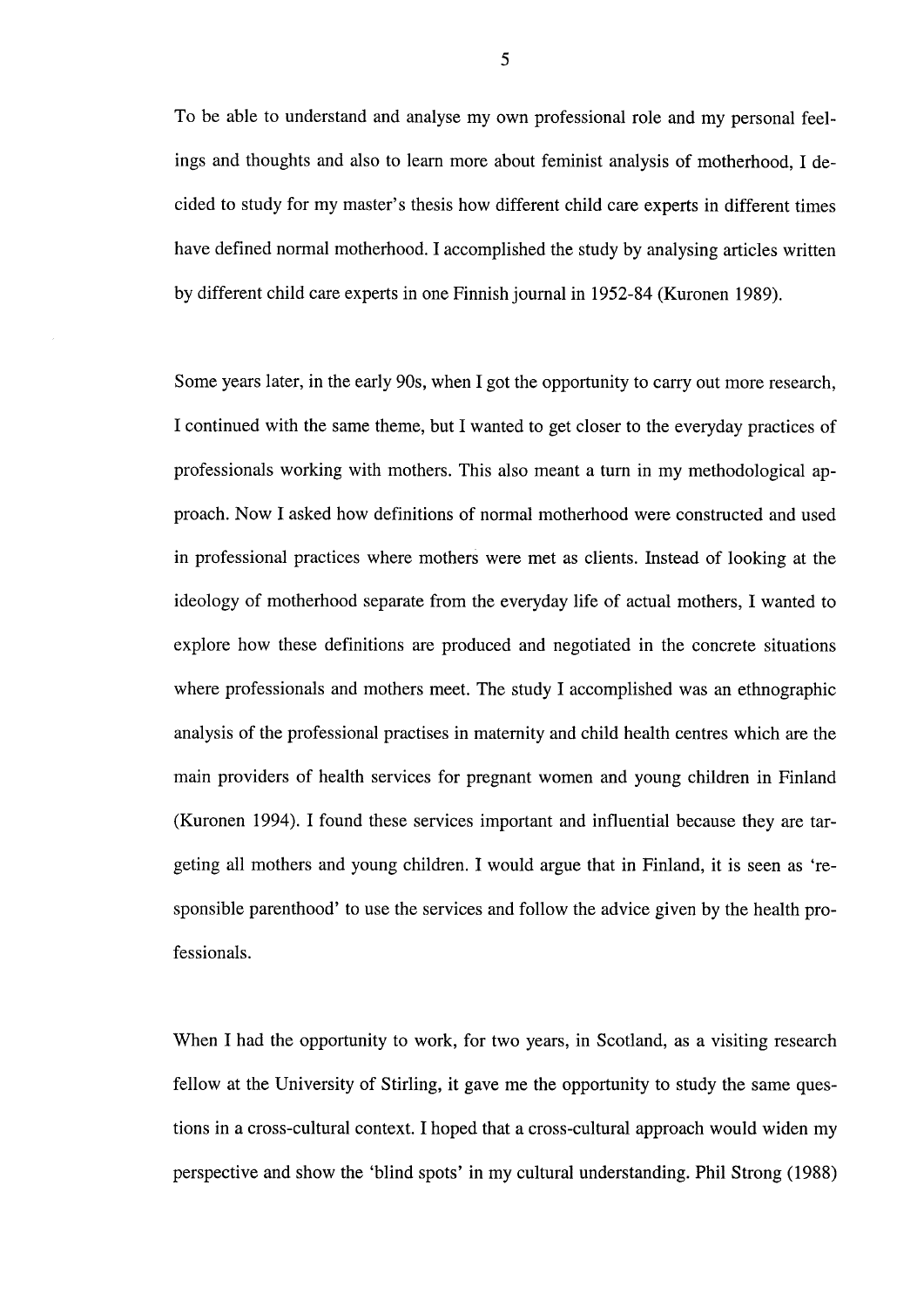To be able to understand and analyse my own professional role and my personal feelings and thoughts and also to learn more about feminist analysis of motherhood, I decided to study for my master's thesis how different child care experts in different times have defined normal motherhood. I accomplished the study by analysing articles written by different child care experts in one Finnish journal in 1952-84 (Kuronen 1989).

Some years later, in the early 90s, when I got the opportunity to carry out more research, I continued with the same theme, but I wanted to get closer to the everyday practices of professionals working with mothers. This also meant a turn in my methodological approach. Now I asked how definitions of normal motherhood were constructed and used in professional practices where mothers were met as clients. Instead of looking at the ideology of motherhood separate from the everyday life of actual mothers, I wanted to explore how these definitions are produced and negotiated in the concrete situations where professionals and mothers meet. The study I accomplished was an ethnographic analysis of the professional practises in maternity and child health centres which are the main providers of health services for pregnant women and young children in Finland (Kuronen 1994). I found these services important and influential because they are targeting all mothers and young children. I would argue that in Finland, it is seen as 'responsible parenthood' to use the services and follow the advice given by the health professionals.

When I had the opportunity to work, for two years, in Scotland, as a visiting research fellow at the University of Stirling, it gave me the opportunity to study the same questions in a cross-cultural context. I hoped that a cross-cultural approach would widen my perspective and show the 'blind spots' in my cultural understanding. Phil Strong (1988)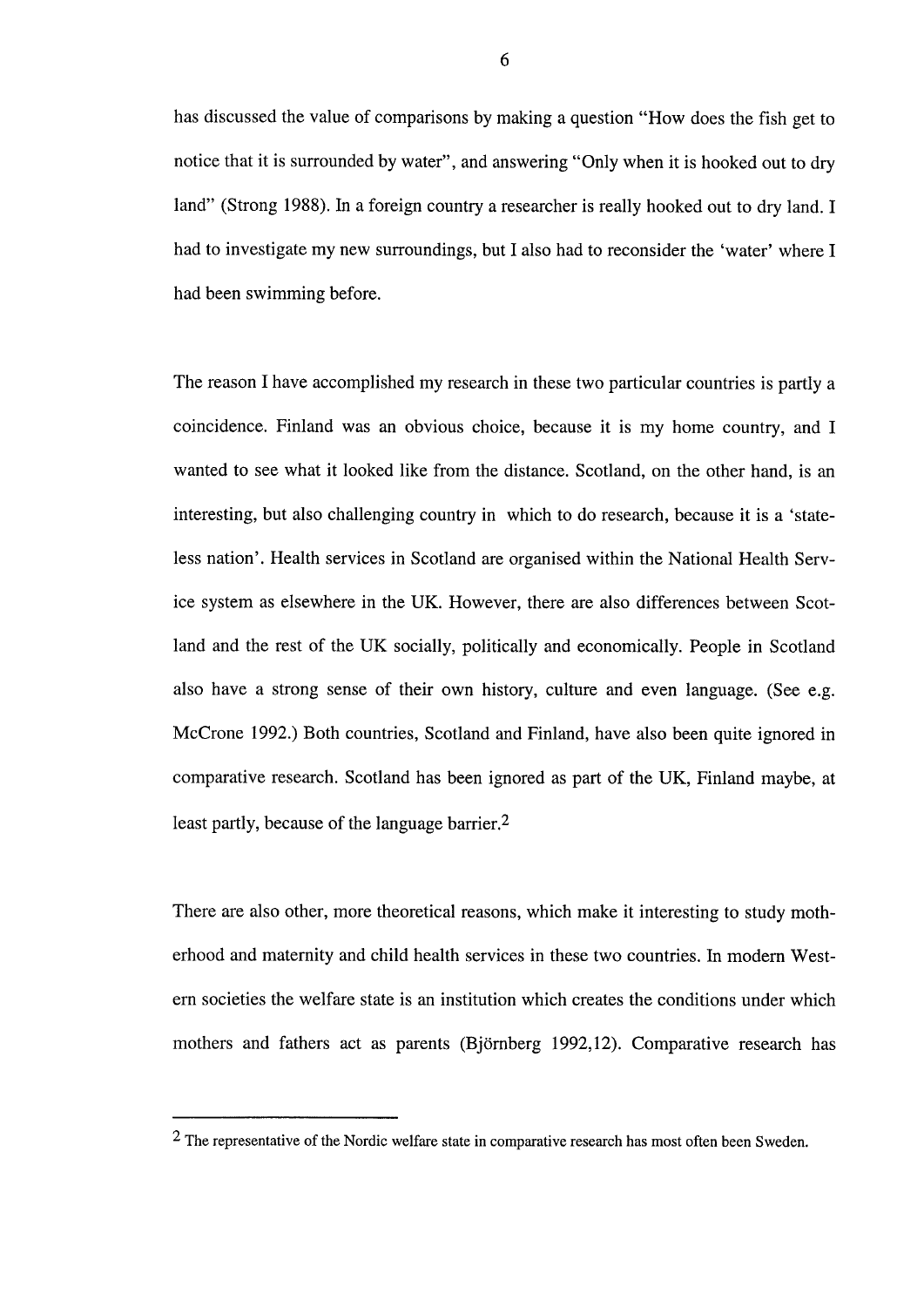has discussed the value of comparisons by making a question "How does the fish get to notice that it is surrounded by water", and answering "Only when it is hooked out to dry land" (Strong 1988). In a foreign country a researcher is really hooked out to dry land. I had to investigate my new surroundings, but I also had to reconsider the 'water' where I had been swimming before.

The reason I have accomplished my research in these two particular countries is partly a coincidence. Finland was an obvious choice, because it is my home country, and I wanted to see what it looked like from the distance. Scotland, on the other hand, is an interesting, but also challenging country in which to do research, because it is a 'stateless nation'. Health services in Scotland are organised within the National Health Service system as elsewhere in the UK. However, there are also differences between Scotland and the rest of the UK socially, politically and economically. People in Scotland also have a strong sense of their own history, culture and even language. (See e.g. McCrone 1992.) Both countries, Scotland and Finland, have also been quite ignored in comparative research. Scotland has been ignored as part of the UK, Finland maybe, at least partly, because of the language barrier.2

There are also other, more theoretical reasons, which make it interesting to study motherhood and maternity and child health services in these two countries. In modern Western societies the welfare state is an institution which creates the conditions under which mothers and fathers act as parents (Björnberg 1992,12). Comparative research has

 $2$  The representative of the Nordic welfare state in comparative research has most often been Sweden.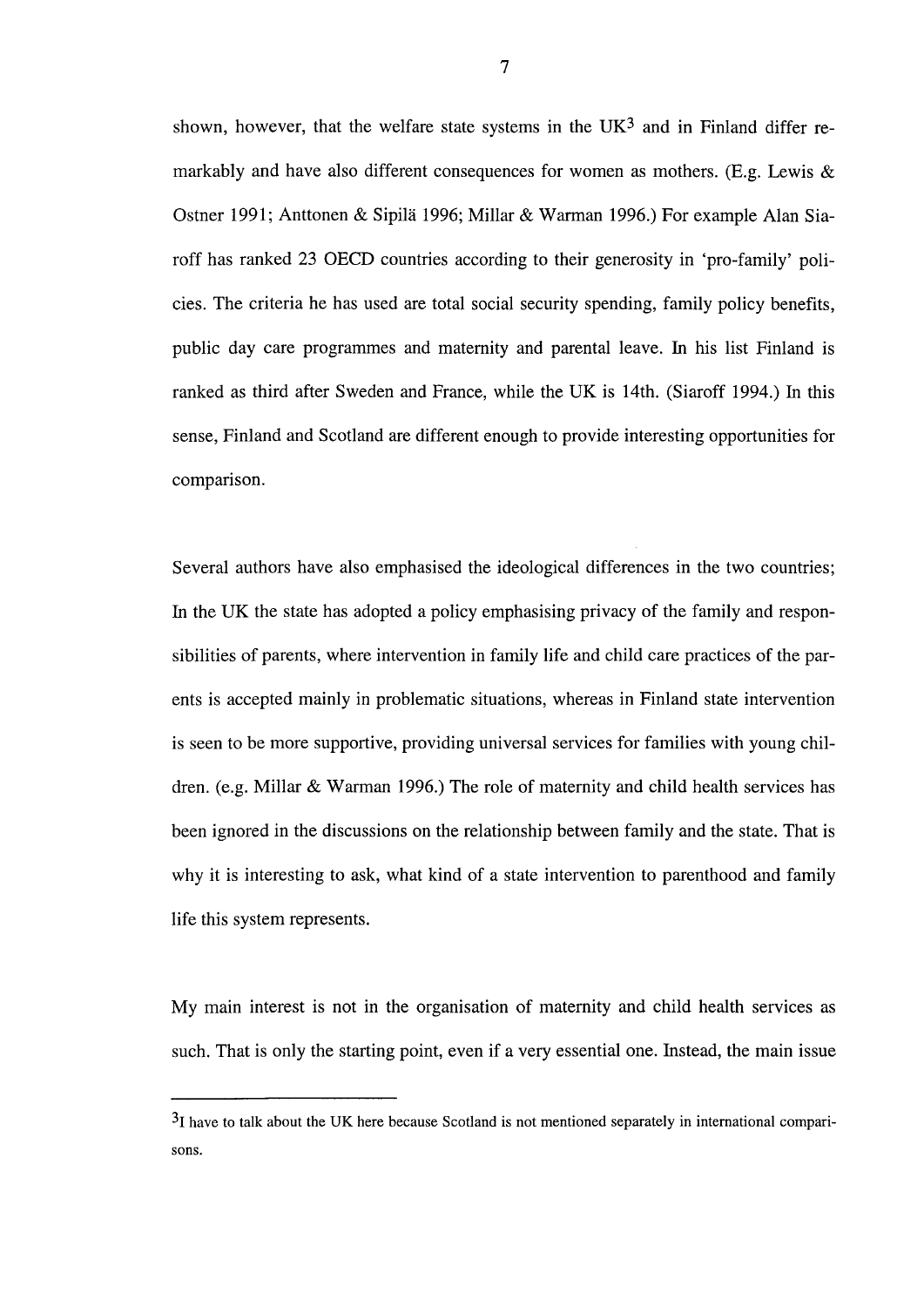shown, however, that the welfare state systems in the  $UK<sup>3</sup>$  and in Finland differ remarkably and have also different consequences for women as mothers. (E.g. Lewis  $\&$ Ostner 1991; Anttonen & Sipilä 1996; Milar & Warman 1996.) For example Alan Siaroff has ranked 23 OECD countries according to their generosity in 'pro-family' policies. The criteria he has used are total social security spending, family policy benefits, public day care programmes and maternity and parental leave. In his list Finland is ranked as third after Sweden and France, while the UK is 14th. (Siaroff 1994.) In this sense, Finland and Scotland are different enough to provide interesting opportunities for comparison.

Several authors have also emphasised the ideological differences in the two countries; In the UK the state has adopted a policy emphasising privacy of the family and responsibilities of parents, where intervention in family life and child care practices of the parents is accepted mainly in problematic situations, whereas in Finland state intervention is seen to be more supportive, providing universal services for familes with young children. (e.g. Milar & Warman 1996.) The role of maternity and child health services has been ignored in the discussions on the relationship between family and the state. That is why it is interesting to ask, what kind of a state intervention to parenthood and family life this system represents.

My main interest is not in the organisation of maternity and child health services as such. That is only the starting point, even if a very essential one. Instead, the main issue

<sup>&</sup>lt;sup>3</sup>I have to talk about the UK here because Scotland is not mentioned separately in international comparisons.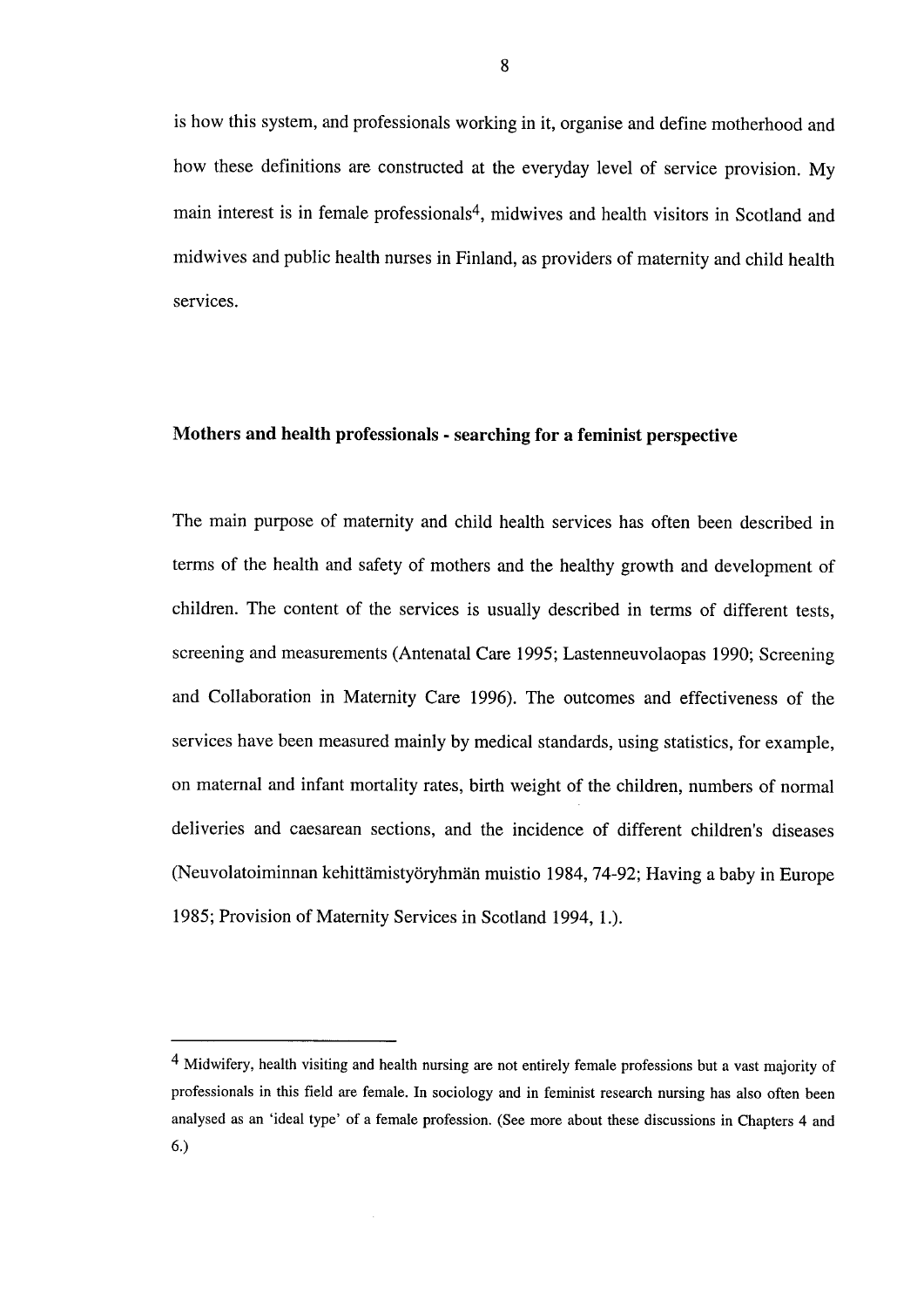is how this system, and professionals working in it, organise and define motherhood and how these definitions are constructed at the everyday level of service provision. My main interest is in female professionals4, midwives and health visitors in Scotland and midwives and public health nurses in Finland, as providers of maternity and child health services.

### Mothers and health professionals - searching for a feminist perspective

The main purpose of maternity and child health services has often been described in terms of the health and safety of mothers and the healthy growth and development of children. The content of the services is usually described in terms of different tests, screening and measurements (Antenatal Care 1995; Lastenneuvolaopas 1990; Screening and Collaboration in Maternity Care 1996). The outcomes and effectiveness of the services have been measured mainly by medical standards, using statistics, for example, on maternal and infant mortality rates, birth weight of the children, numbers of normal deliveries and caesarean sections, and the incidence of different children's diseases (Neuvolatoiminnan kehittämistyöryhmän muistio 1984, 74-92; Having a baby in Europe 1985; Provision of Maternity Services in Scotland 1994, 1.).

<sup>&</sup>lt;sup>4</sup> Midwifery, health visiting and health nursing are not entirely female professions but a vast majority of professionals in this field are female. In sociology and in feminist research nursing has also often been analysed as an 'ideal type' of a female profession. (See more about these discussions in Chapters 4 and 6.)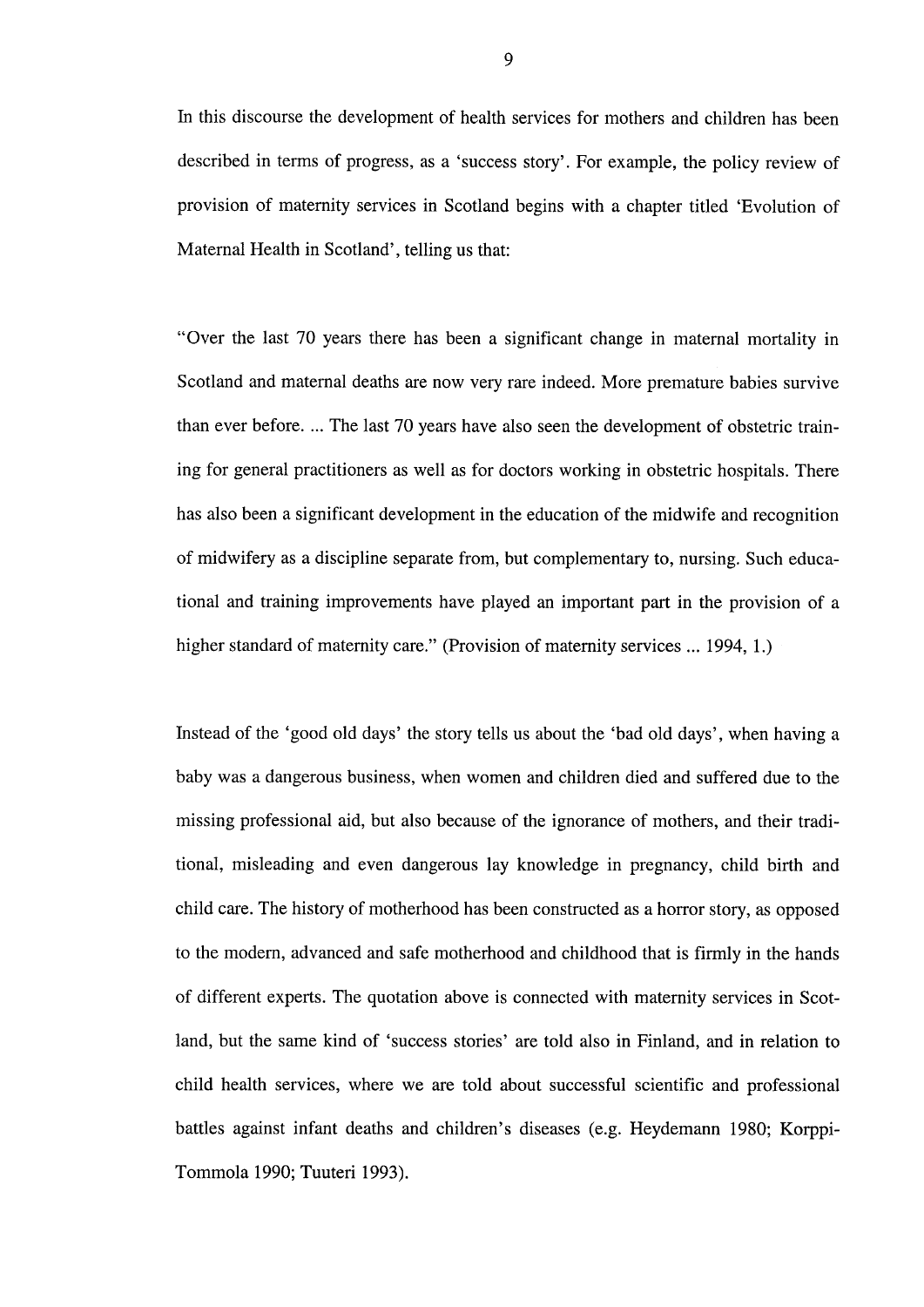In this discourse the development of health services for mothers and children has been described in terms of progress, as a 'success story'. For example, the policy review of provision of maternity services in Scotland begins with a chapter titled 'Evolution of Maternal Health in Scotland', telling us that:

"Over the last 70 years there has been a significant change in maternal mortality in Scotland and maternal deaths are now very rare indeed. More premature babies survive than ever before. ... The last 70 years have also seen the development of obstetric training for general practitioners as well as for doctors working in obstetric hospitals. There has also been a significant development in the education of the midwife and recognition of midwifery as a discipline separate from, but complementary to, nursing. Such educational and training improvements have played an important part in the provision of a higher standard of maternity care." (Provision of maternity services ... 1994, 1.)

Instead of the 'good old days' the story tells us about the 'bad old days', when having a baby was a dangerous business, when women and children died and suffered due to the missing professional aid, but also because of the ignorance of mothers, and their traditional, misleading and even dangerous lay knowledge in pregnancy, child birth and child care. The history of motherhood has been constructed as a horror story, as opposed to the modern, advanced and safe motherhood and childhood that is firmly in the hands of different experts. The quotation above is connected with maternity services in Scotland, but the same kind of 'success stories' are told also in Finland, and in relation to child health services, where we are told about successful scientific and professional battles against infant deaths and children's diseases (e.g. Heydemann 1980; Korppi-Tommola 1990; Tuuteri 1993).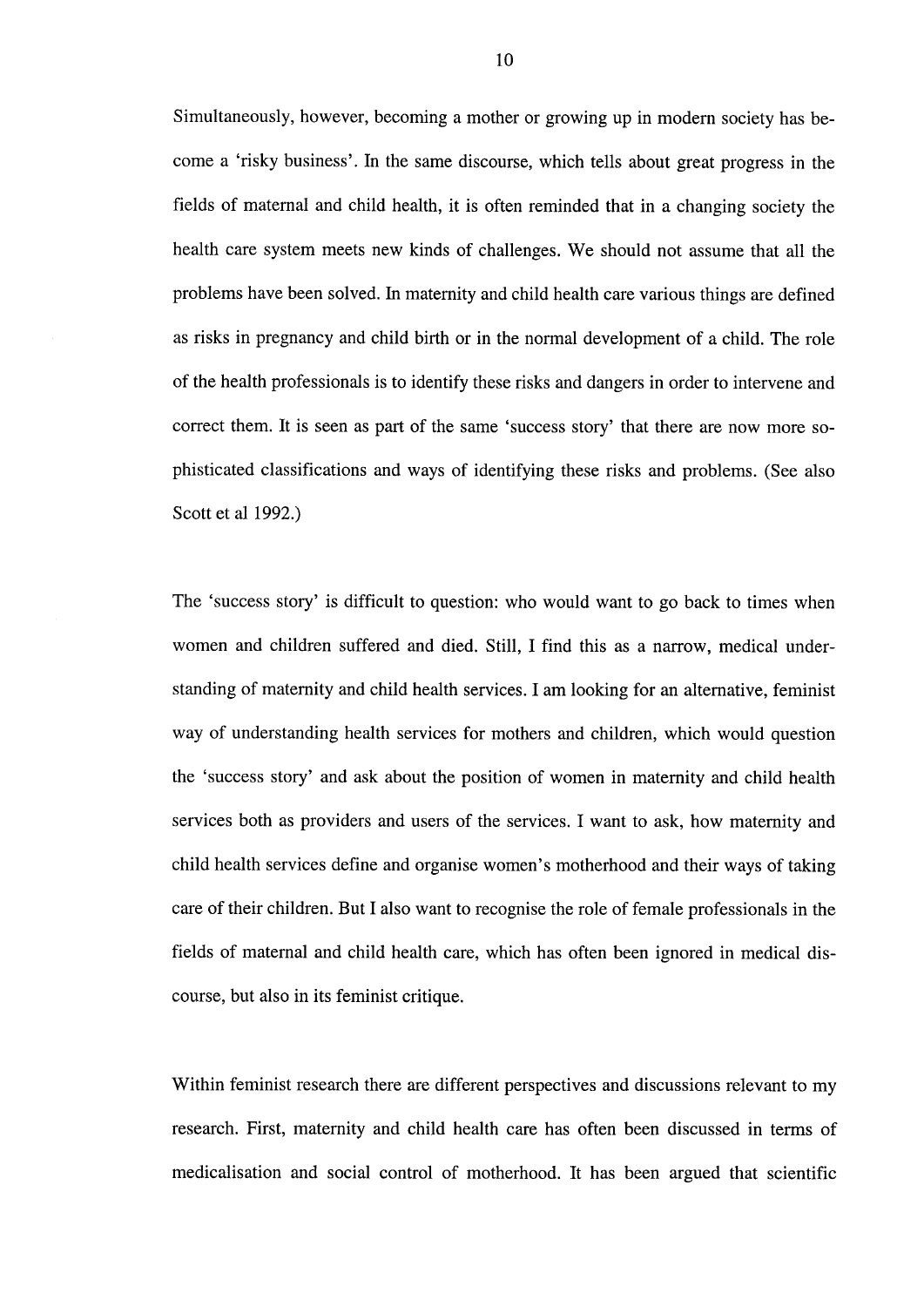Simultaneously, however, becoming a mother or growing up in modern society has become a 'risky business'. In the same discourse, which tells about great progress in the fields of maternal and child health, it is often reminded that in a changing society the health care system meets new kinds of challenges. We should not assume that all the problems have been solved. In maternity and child health care various things are defined as risks in pregnancy and child birth or in the normal development of a child. The role of the health professionals is to identify these risks and dangers in order to intervene and correct them. It is seen as part of the same 'success story' that there are now more sophisticated classifications and ways of identifying these risks and problems. (See also Scott et al 1992.)

The 'success story' is difficult to question: who would want to go back to times when women and children suffered and died. Stil, I find this as a narrow, medical understanding of maternity and child health services. I am looking for an alternative, feminist way of understanding health services for mothers and children, which would question the 'success story' and ask about the position of women in maternity and child health services both as providers and users of the services. I want to ask, how maternity and child health services define and organise women's motherhood and their ways of taking care of their children. But I also want to recognise the role of female professionals in the fields of maternal and child health care, which has often been ignored in medical discourse, but also in its feminist critique.

Within feminist research there are different perspectives and discussions relevant to my research. First, maternity and child health care has often been discussed in terms of medicalisation and social control of motherhood. It has been argued that scientific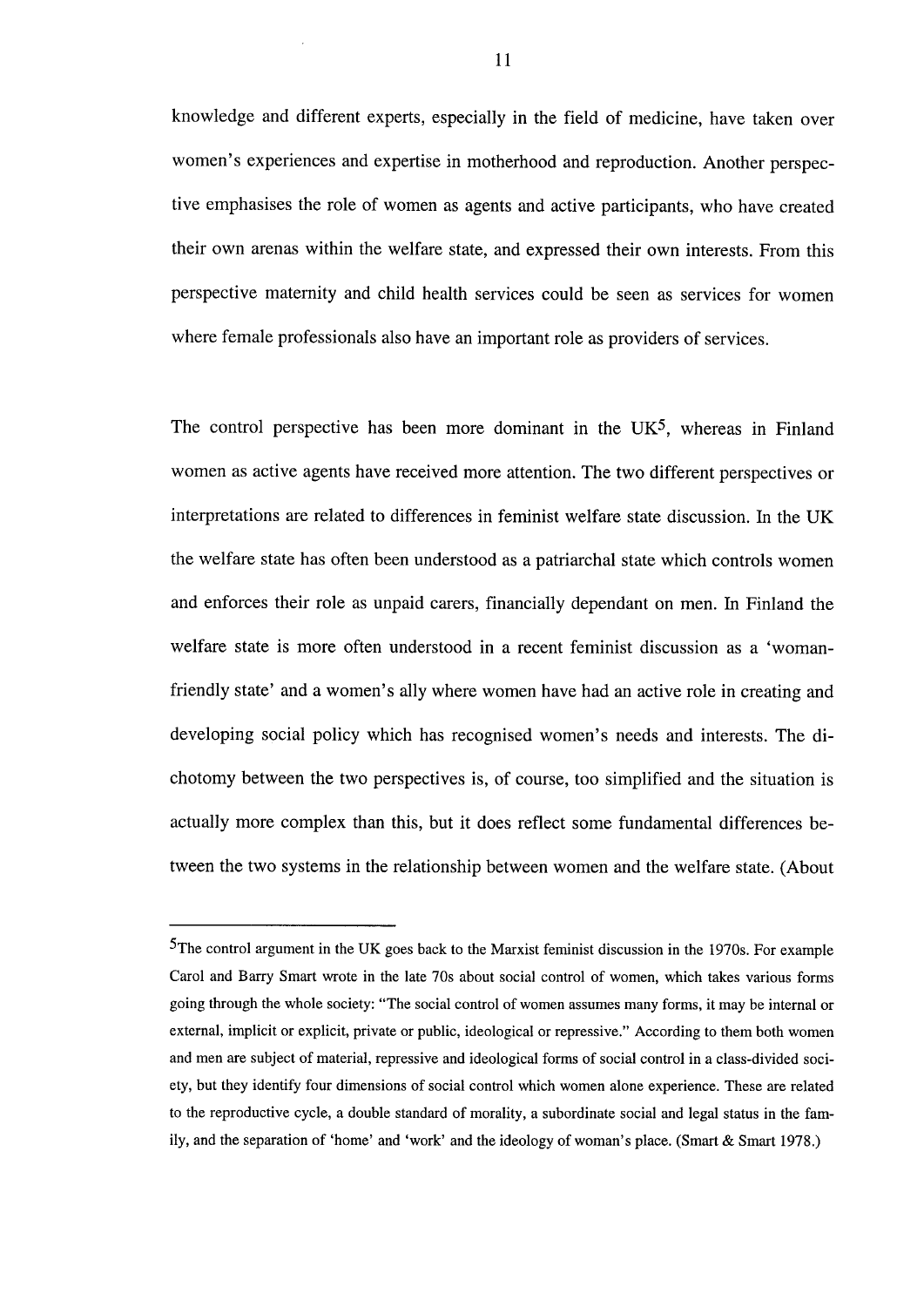knowledge and different experts, especially in the field of medicine, have taken over women's experiences and expertise in motherhood and reproduction. Another perspective emphasises the role of women as agents and active participants, who have created their own arenas within the welfare state, and expressed their own interests. From this perspective maternity and child health services could be seen as services for women where female professionals also have an important role as providers of services.

The control perspective has been more dominant in the  $UK<sup>5</sup>$ , whereas in Finland women as active agents have received more attention. The two different perspectives or interpretations are related to differences in feminist welfare state discussion. In the UK the welfare state has often been understood as a patriarchal state which controls women and enforces their role as unpaid carers, financially dependant on men. In Finland the welfare state is more often understood in a recent feminist discussion as a 'womanfriendly state' and a women's ally where women have had an active role in creating and developing social policy which has recognised women's needs and interests. The dichotomy between the two perspectives is, of course, too simplified and the situation is actually more complex than this, but it does reflect some fundamental differences between the two systems in the relationship between women and the welfare state. (About

<sup>5</sup>The control argument in the UK goes back to the Marxist feminist discussion in the 1970s. For example Carol and Barry Smart wrote in the late 70s about social control of women, which takes various forms going through the whole society: "The social control of women assumes many forms, it may be internal or external, implicit or explicit, private or public, ideological or repressive." According to them both women and men are subject of material, repressive and ideological forms of social control in a class-divided society, but they identify four dimensions of social control which women alone experience. These are related to the reproductive cycle, a double standard of morality, a subordinate social and legal status in the family, and the separation of 'home' and 'work' and the ideology of woman's place. (Smart & Smart 1978.)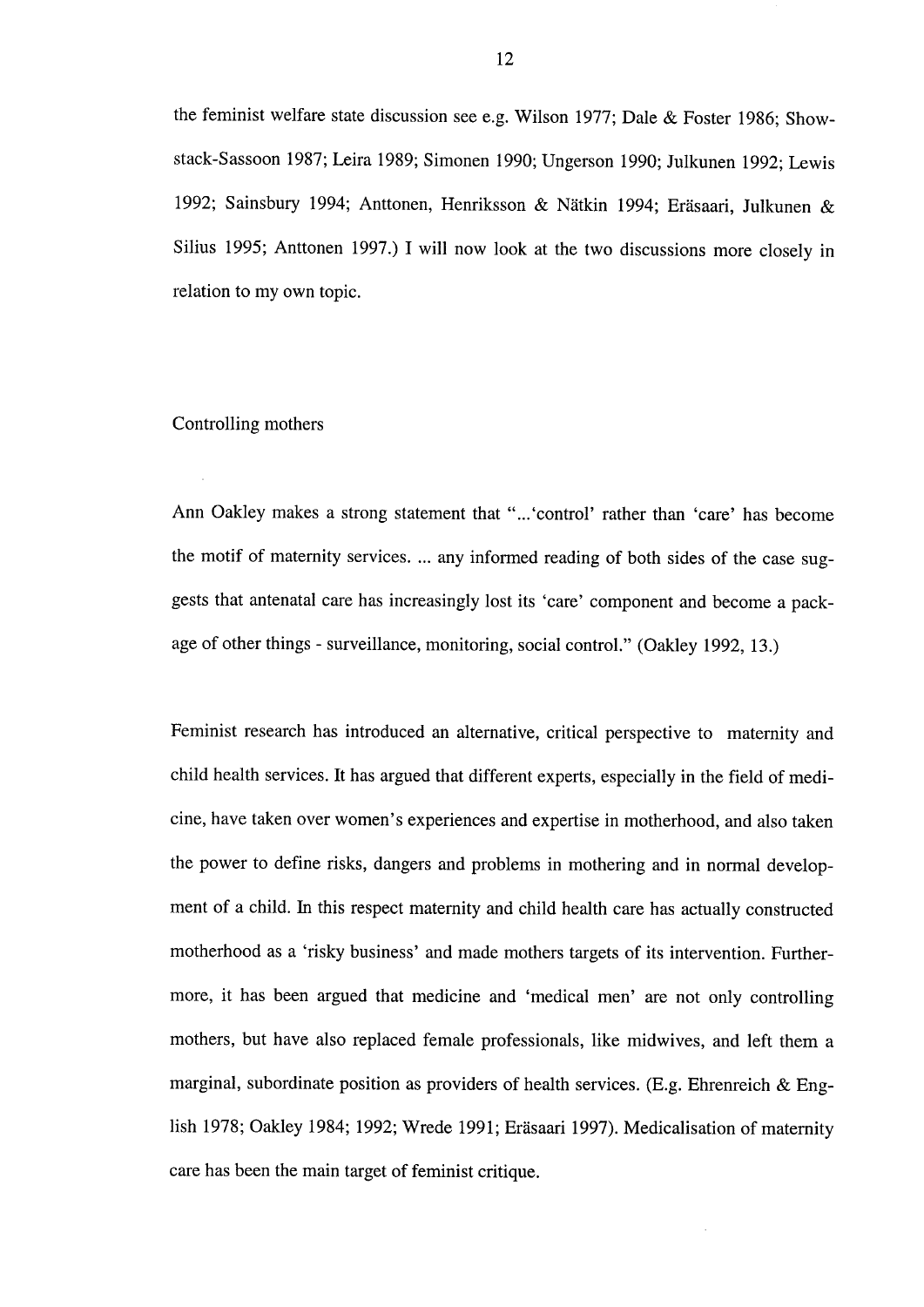the feminist welfare state discussion see e.g. Wilson 1977; Dale & Foster 1986; Showstack-Sassoon 1987; Leira 1989; Simonen 1990; Ungerson 1990; Julkunen 1992; Lewis 1992; Sainsbury 1994; Anttonen, Henriksson & Nätkin 1994; Eräsaari, Julkunen & Silius 1995; Anttonen 1997.) I will now look at the two discussions more closely in relation to my own topic.

#### Controlling mothers

Ann Oakley makes a strong statement that "... 'control' rather than 'care' has become the motif of maternity services. ... any informed reading of both sides of the case suggests that antenatal care has increasingly lost its 'care' component and become a package of other things - surveilance, monitoring, social control." (Oakley 1992, 13.)

Feminist research has introduced an alternative, critical perspective to maternity and child health services. It has argued that different experts, especially in the field of medicine, have taken over women's experiences and expertise in motherhood, and also taken the power to define risks, dangers and problems in mothering and in normal development of a child. In this respect maternity and child health care has actually constructed motherhood as a 'risky business' and made mothers targets of its intervention. Furthermore, it has been argued that medicine and 'medical men' are not only controlling mothers, but have also replaced female professionals, like midwives, and left them a marginal, subordinate position as providers of health services. (E.g. Ehrenreich & English 1978; Oakley 1984; 1992; Wrede 1991; Eräsaari 1997). Medicalisation of maternity care has been the main target of feminist critique.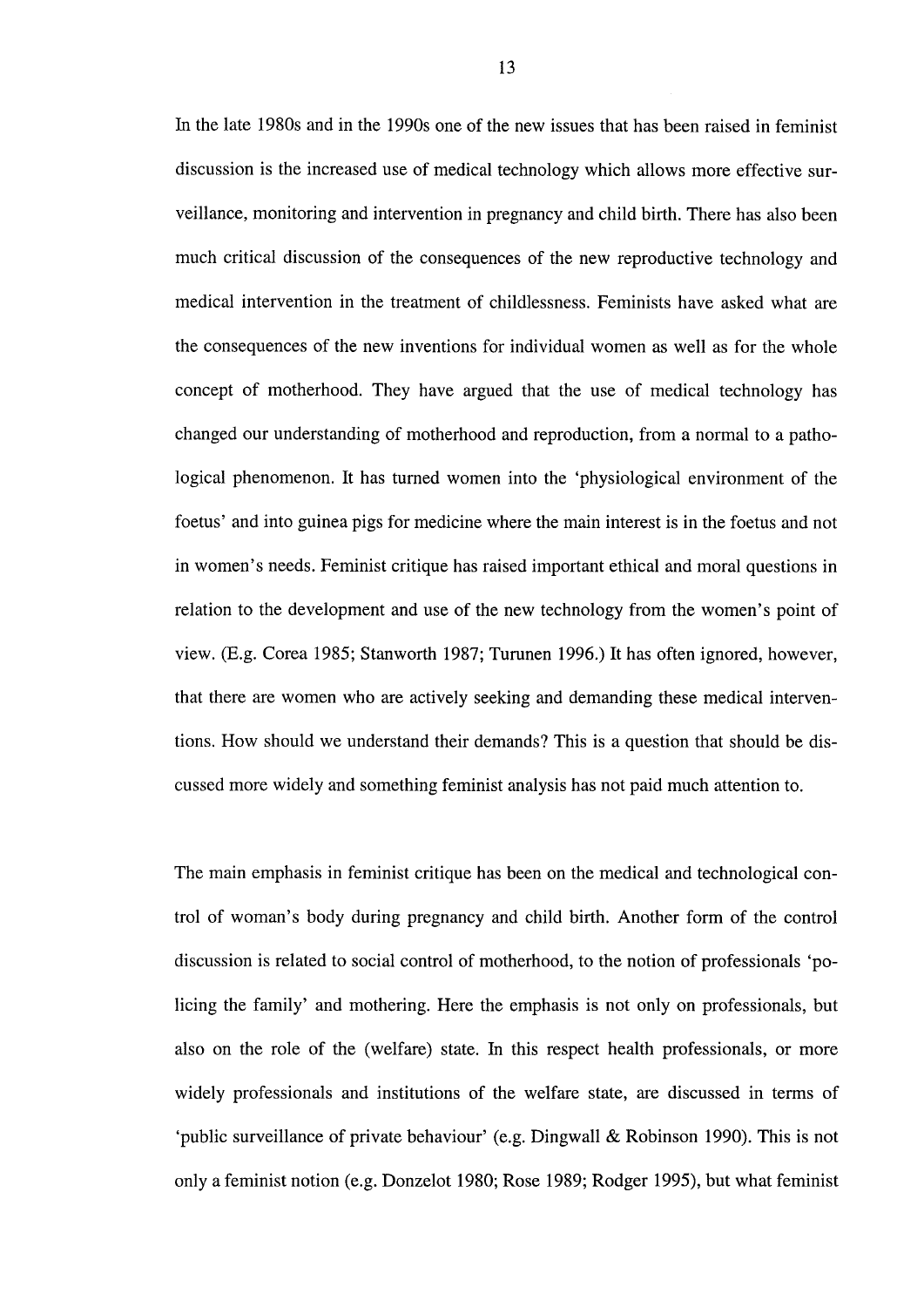In the late 1980s and in the 1990s one of the new issues that has been raised in feminist discussion is the increased use of medical technology which allows more effective surveilance, monitoring and intervention in pregnancy and child birth. There has also been much critical discussion of the consequences of the new reproductive technology and medical intervention in the treatment of childlessness. Feminists have asked what are the consequences of the new inventions for individual women as well as for the whole concept of motherhood. They have argued that the use of medical technology has changed our understanding of motherhood and reproduction, from a normal to a pathological phenomenon. It has turned women into the 'physiological environment of the foetus' and into guinea pigs for medicine where the main interest is in the foetus and not in women's needs. Feminist critique has raised important ethical and moral questions in relation to the development and use of the new technology from the women's point of view. (E.g. Corea 1985; Stanworth 1987; Turunen 1996.) It has often ignored, however, that there are women who are actively seeking and demanding these medical interventions. How should we understand their demands? This is a question that should be discussed more widely and something feminist analysis has not paid much attention to.

The main emphasis in feminist critique has been on the medical and technological control of woman's body during pregnancy and child birth. Another form of the control discussion is related to social control of motherhood, to the notion of professionals 'policing the family' and mothering. Here the emphasis is not only on professionals, but also on the role of the (welfare) state. In this respect health professionals, or more widely professionals and institutions of the welfare state, are discussed in terms of 'public surveilance of private behaviour' (e.g. Dingwall & Robinson 1990). This is not only a feminist notion (e.g. Donzelot 1980; Rose 1989; Rodger 1995), but what feminist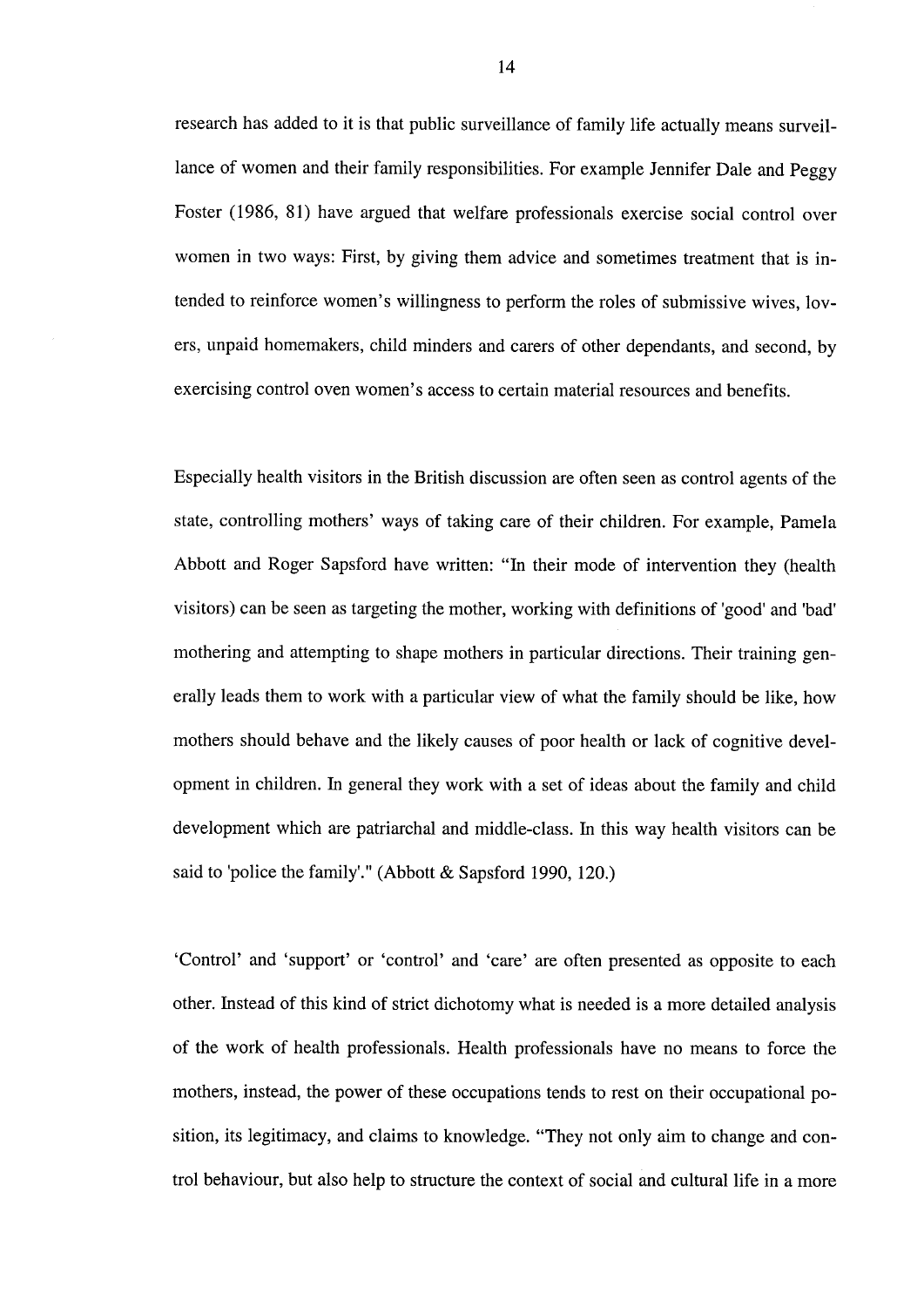research has added to it is that public surveilance of family life actually means surveillance of women and their family responsibilties. For example Jennifer Dale and Peggy Foster (1986, 81) have argued that welfare professionals exercise social control over women in two ways: First, by giving them advice and sometimes treatment that is intended to reinforce women's wilingness to perform the roles of submissive wives, lovers, unpaid homemakers, child minders and carers of other dependants, and second, by exercising control oven women's access to certain material resources and benefits.

Especially health visitors in the British discussion are often seen as control agents of the state, controlling mothers' ways of taking care of their children. For example, Pamela Abbott and Roger Sapsford have written: "In their mode of intervention they (health visitors) can be seen as targeting the mother, working with definitions of 'good' and 'bad' mothering and attempting to shape mothers in particular directions. Their training generally leads them to work with a particular view of what the family should be like, how mothers should behave and the likely causes of poor health or lack of cognitive development in children. In general they work with a set of ideas about the family and child development which are patriarchal and middle-class. In this way health visitors can be said to 'police the family'." (Abbott & Sapsford 1990, 120.)

'Control' and 'support' or 'control' and 'care' are often presented as opposite to each other. Instead of this kind of strict dichotomy what is needed is a more detailed analysis of the work of health professionals. Health professionals have no means to force the mothers, instead, the power of these occupations tends to rest on their occupational positon, its legitimacy, and claims to knowledge. "They not only aim to change and control behaviour, but also help to structure the context of social and cultural life in a more

14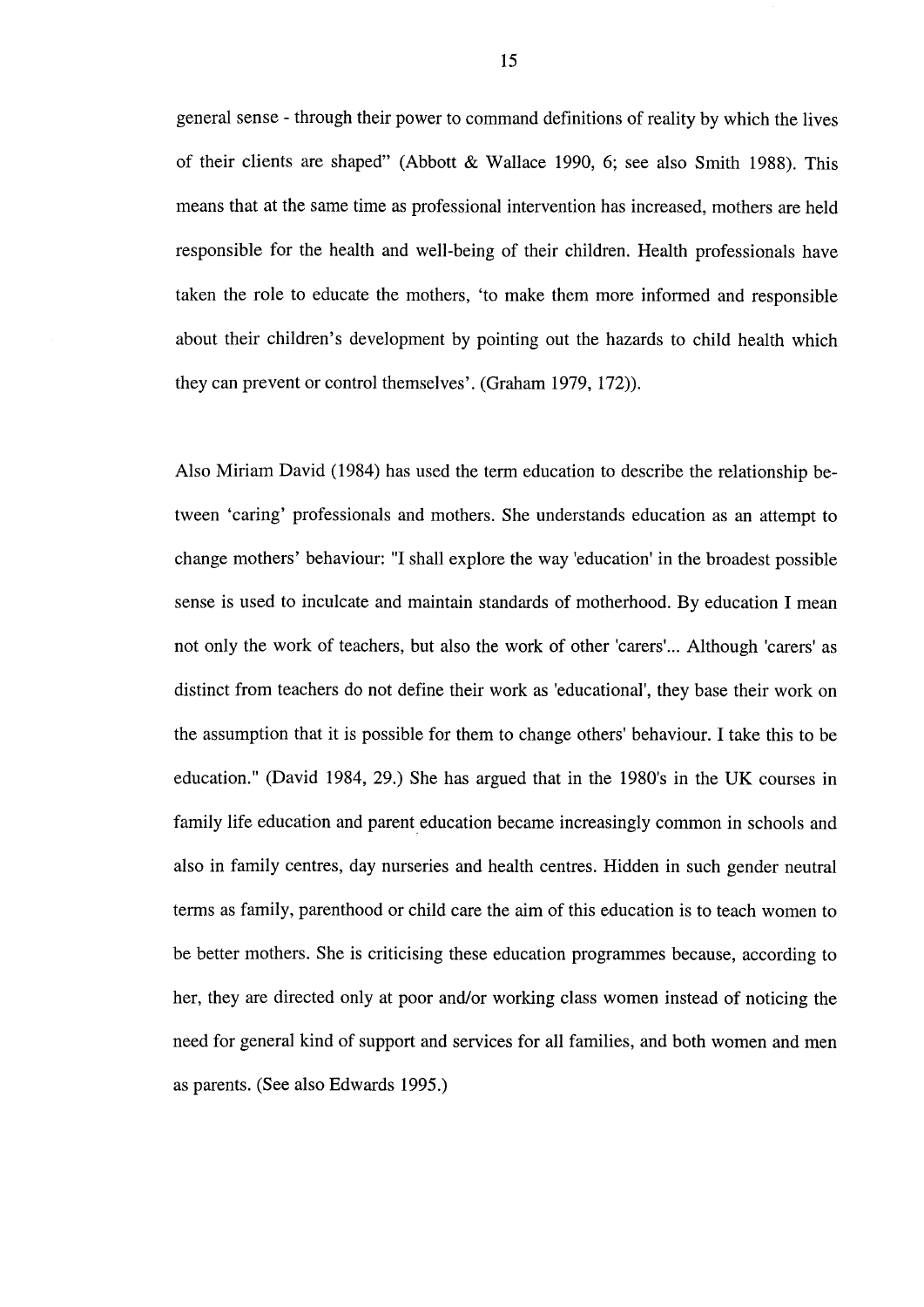general sense - through their power to command definitions of reality by which the lives of their clients are shaped" (Abbott & Wallace 1990, 6; see also Smith 1988). This means that at the same time as professional intervention has increased, mothers are held responsible for the health and well-being of their children. Health professionals have taken the role to educate the mothers, 'to make them more informed and responsible about their children's development by pointing out the hazards to child health which they can prevent or control themselves'. (Graham 1979, 172)).

Also Miriam David (1984) has used the term education to describe the relationship between 'caring' professionals and mothers. She understands education as an attempt to change mothers' behaviour: "I shall explore the way 'education' in the broadest possible sense is used to inculcate and maintain standards of motherhood. By education I mean not only the work of teachers, but also the work of other 'carers'... Although 'carers' as distinct from teachers do not define their work as 'educational', they base their work on the assumption that it is possible for them to change others' behaviour. I take this to be education." (David 1984, 29.) She has argued that in the 1980's in the UK courses in family life education and parent education became increasingly common in schools and also in family centres, day nurseries and health centres. Hidden in such gender neutral terms as family, parenthood or child care the aim of this education is to teach women to be better mothers. She is criticising these education programmes because, according to her, they are directed only at poor and/or working class women instead of noticing the need for general kind of support and services for all familes, and both women and men as parents. (See also Edwards 1995.)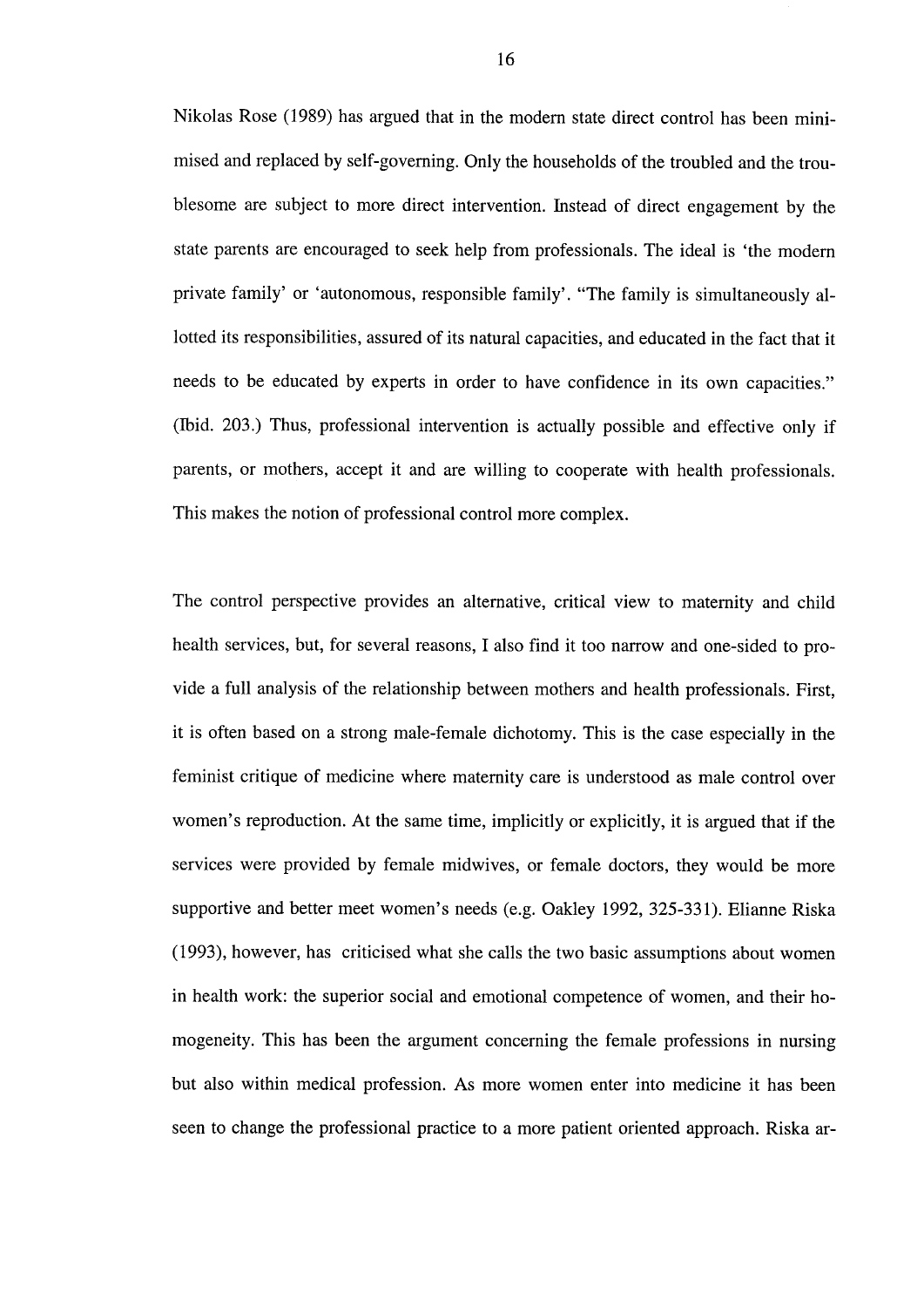Nikolas Rose (1989) has argued that in the modern state direct control has been minimised and replaced by self-governing. Only the households of the troubled and the troublesome are subject to more direct intervention. Instead of direct engagement by the state parents are encouraged to seek help from professionals. The ideal is 'the modern private family' or 'autonomous, responsible family'. "The family is simultaneously allotted its responsibilities, assured of its natural capacities, and educated in the fact that it needs to be educated by experts in order to have confidence in its own capacities." (Ibid. 203.) Thus, professional intervention is actually possible and effective only if parents, or mothers, accept it and are wiling to cooperate with health professionals. This makes the notion of professional control more complex.

The control perspective provides an alternative, critical view to maternity and child health services, but, for several reasons, I also find it too narrow and one-sided to provide a full analysis of the relationship between mothers and health professionals. First, it is often based on a strong male-female dichotomy. This is the case especially in the feminist critique of medicine where maternity care is understood as male control over women's reproduction. At the same time, implicitly or explicitly, it is argued that if the services were provided by female midwives, or female doctors, they would be more supportive and better meet women's needs (e.g. Oakley 1992, 325-331). Elianne Riska (1993), however, has criticised what she calls the two basic assumptions about women in health work: the superior social and emotional competence of women, and their homogeneity. This has been the argument concerning the female professions in nursing but also within medical profession. As more women enter into medicine it has been seen to change the professional practice to a more patient oriented approach. Riska ar